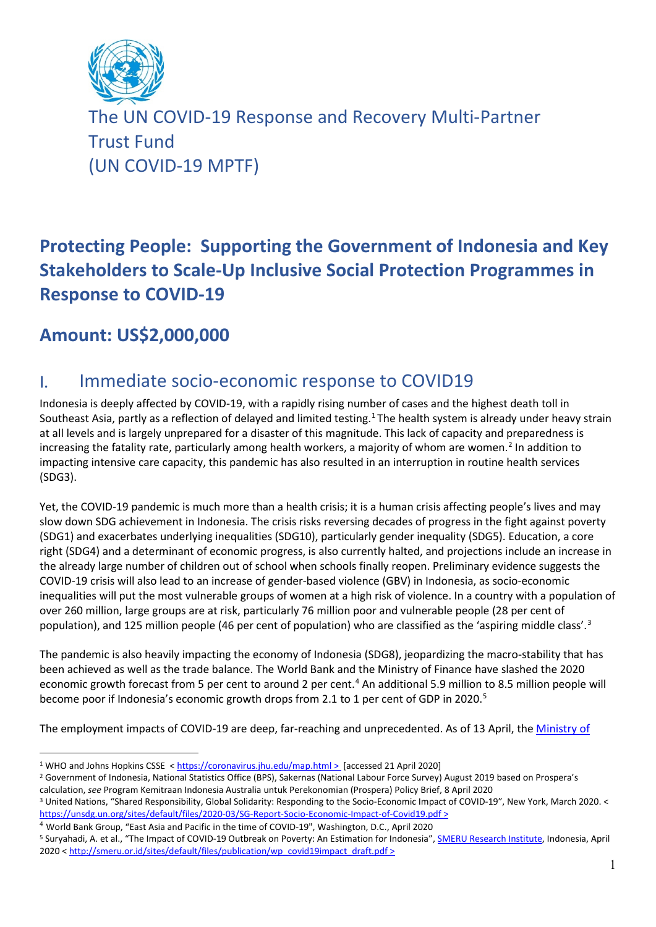

The UN COVID-19 Response and Recovery Multi-Partner Trust Fund (UN COVID-19 MPTF)

# **Protecting People: Supporting the Government of Indonesia and Key Stakeholders to Scale-Up Inclusive Social Protection Programmes in Response to COVID-19**

## **Amount: US\$2,000,000**

## I. Immediate socio-economic response to COVID19

Indonesia is deeply affected by COVID-19, with a rapidly rising number of cases and the highest death toll in Southeast Asia, partly as a reflection of delayed and limited testing.<sup>[1](#page-0-0)</sup> The health system is already under heavy strain at all levels and is largely unprepared for a disaster of this magnitude. This lack of capacity and preparedness is increasing the fatality rate, particularly among health workers, a majority of whom are women.<sup>[2](#page-0-1)</sup> In addition to impacting intensive care capacity, this pandemic has also resulted in an interruption in routine health services (SDG3).

Yet, the COVID-19 pandemic is much more than a health crisis; it is a human crisis affecting people's lives and may slow down SDG achievement in Indonesia. The crisis risks reversing decades of progress in the fight against poverty (SDG1) and exacerbates underlying inequalities (SDG10), particularly gender inequality (SDG5). Education, a core right (SDG4) and a determinant of economic progress, is also currently halted, and projections include an increase in the already large number of children out of school when schools finally reopen. Preliminary evidence suggests the COVID-19 crisis will also lead to an increase of gender-based violence (GBV) in Indonesia, as socio-economic inequalities will put the most vulnerable groups of women at a high risk of violence. In a country with a population of over 260 million, large groups are at risk, particularly 76 million poor and vulnerable people (28 per cent of population), and 125 million people (46 per cent of population) who are classified as the 'aspiring middle class'.<sup>[3](#page-0-2)</sup>

The pandemic is also heavily impacting the economy of Indonesia (SDG8), jeopardizing the macro-stability that has been achieved as well as the trade balance. The World Bank and the Ministry of Finance have slashed the 2020 economic growth forecast from 5 per cent to around 2 per cent.<sup>[4](#page-0-3)</sup> An additional 5.9 million to 8.5 million people will become poor if Indonesia's economic growth drops from 2.1 to 1 per cent of GDP in 2020.<sup>[5](#page-0-4)</sup>

The employment impacts of COVID-19 are deep, far-reaching and unprecedented. As of 13 April, the [Ministry of](https://www.thejakartapost.com/news/2020/04/13/govt-introduces-new-social-benefits-as-2-8-million-lose-jobs.html) 

<span id="page-0-3"></span><sup>4</sup> World Bank Group, "East Asia and Pacific in the time of COVID-19", Washington, D.C., April 2020

<sup>1</sup> WHO and Johns Hopkins CSSE [< https://coronavirus.jhu.edu/map.html](https://coronavirus.jhu.edu/map.html) > [accessed 21 April 2020]

<span id="page-0-1"></span><span id="page-0-0"></span><sup>2</sup> Government of Indonesia, National Statistics Office (BPS), Sakernas (National Labour Force Survey) August 2019 based on Prospera's

<span id="page-0-2"></span>calculation, see Program Kemitraan Indonesia Australia untuk Perekonomian (Prospera) Policy Brief, 8 April 2020<br><sup>3</sup> United Nations, "Shared Responsibility, Global Solidarity: Responding to the Socio-Economic Impact of COVI <https://unsdg.un.org/sites/default/files/2020-03/SG-Report-Socio-Economic-Impact-of-Covid19.pdf> >

<span id="page-0-4"></span><sup>&</sup>lt;sup>5</sup> Suryahadi, A. et al., "The Impact of COVID-19 Outbreak on Poverty: An Estimation for Indonesia", **SMERU Research Institute**, Indonesia, April 2020 < [http://smeru.or.id/sites/default/files/publication/wp\\_covid19impact\\_draft.pdf](http://smeru.or.id/sites/default/files/publication/wp_covid19impact_draft.pdf) >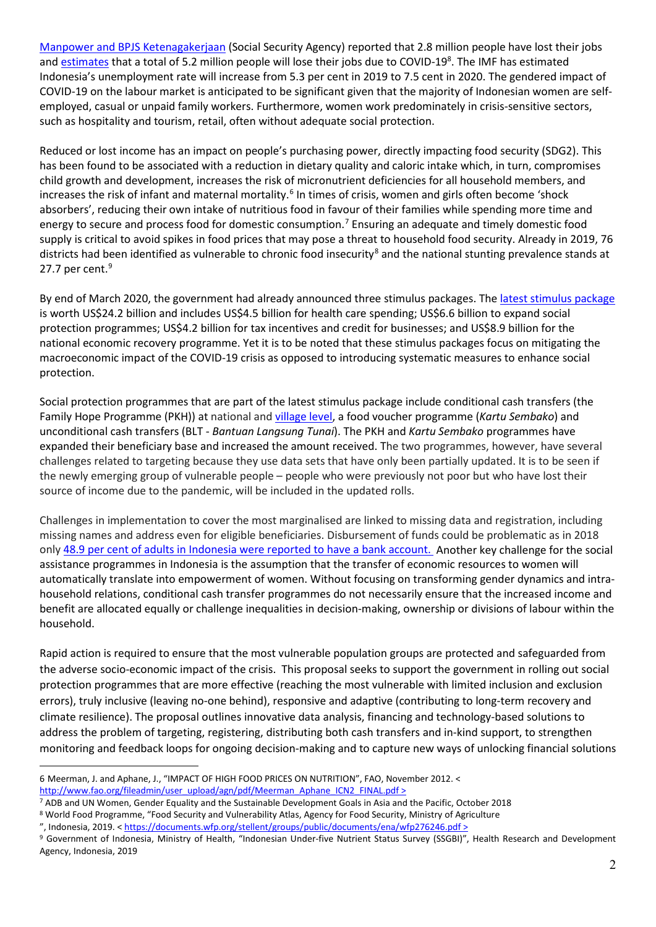[Manpower and BPJS Ketenagakerjaan](https://www.thejakartapost.com/news/2020/04/13/govt-introduces-new-social-benefits-as-2-8-million-lose-jobs.html) (Social Security Agency) reported that 2.8 million people have lost their jobs and **estimates** that a total of 5.2 million people will lose their jobs due to COVID-19<sup>8</sup>. The IMF has estimated Indonesia's unemployment rate will increase from 5.3 per cent in 2019 to 7.5 cent in 2020. The gendered impact of COVID-19 on the labour market is anticipated to be significant given that the majority of Indonesian women are selfemployed, casual or unpaid family workers. Furthermore, women work predominately in crisis-sensitive sectors, such as hospitality and tourism, retail, often without adequate social protection.

Reduced or lost income has an impact on people's purchasing power, directly impacting food security (SDG2). This has been found to be associated with a reduction in dietary quality and caloric intake which, in turn, compromises child growth and development, increases the risk of micronutrient deficiencies for all household members, and increases the risk of infant and maternal mortality.<sup>[6](#page-1-0)</sup> In times of crisis, women and girls often become 'shock absorbers', reducing their own intake of nutritious food in favour of their families while spending more time and energy to secure and process food for domestic consumption.[7](#page-1-1) Ensuring an adequate and timely domestic food supply is critical to avoid spikes in food prices that may pose a threat to household food security. Already in 2019, 76 districts had been identified as vulnerable to chronic food insecurity<sup>[8](#page-1-2)</sup> and the national stunting prevalence stands at 27.7 per cent.<sup>[9](#page-1-3)</sup>

By end of March 2020, the government had already announced three stimulus packages. The latest stimulus package is worth US\$24.2 billion and includes US\$4.5 billion for health care spending; US\$6.6 billion to expand social protection programmes; US\$4.2 billion for tax incentives and credit for businesses; and US\$8.9 billion for the national economic recovery programme. Yet it is to be noted that these stimulus packages focus on mitigating the macroeconomic impact of the COVID-19 crisis as opposed to introducing systematic measures to enhance social protection.

Social protection programmes that are part of the latest stimulus package include conditional cash transfers (the Family Hope Programme (PKH)) at national and village level, a food voucher programme (*Kartu Sembako*) and unconditional cash transfers (BLT - *Bantuan Langsung Tunai*). The PKH and *Kartu Sembako* programmes have expanded their beneficiary base and increased the amount received. The two programmes, however, have several challenges related to targeting because they use data sets that have only been partially updated. It is to be seen if the newly emerging group of vulnerable people – people who were previously not poor but who have lost their source of income due to the pandemic, will be included in the updated rolls.

Challenges in implementation to cover the most marginalised are linked to missing data and registration, including missing names and address even for eligible beneficiaries. Disbursement of funds could be problematic as in 2018 only 48.9 per cent [of adults in Indonesia were reported to have a bank account.](https://globalfindex.worldbank.org/sites/globalfindex/files/countrybook/Indonesia.pdf) Another key challenge for the social assistance programmes in Indonesia is the assumption that the transfer of economic resources to women will automatically translate into empowerment of women. Without focusing on transforming gender dynamics and intrahousehold relations, conditional cash transfer programmes do not necessarily ensure that the increased income and benefit are allocated equally or challenge inequalities in decision-making, ownership or divisions of labour within the household.

Rapid action is required to ensure that the most vulnerable population groups are protected and safeguarded from the adverse socio-economic impact of the crisis. This proposal seeks to support the government in rolling out social protection programmes that are more effective (reaching the most vulnerable with limited inclusion and exclusion errors), truly inclusive (leaving no-one behind), responsive and adaptive (contributing to long-term recovery and climate resilience). The proposal outlines innovative data analysis, financing and technology-based solutions to address the problem of targeting, registering, distributing both cash transfers and in-kind support, to strengthen monitoring and feedback loops for ongoing decision-making and to capture new ways of unlocking financial solutions

<span id="page-1-0"></span><sup>6</sup> Meerman, J. and Aphane, J., "IMPACT OF HIGH FOOD PRICES ON NUTRITION", FAO, November 2012. <

[http://www.fao.org/fileadmin/user\\_upload/agn/pdf/Meerman\\_Aphane\\_ICN2\\_FINAL.pdf](http://www.fao.org/fileadmin/user_upload/agn/pdf/Meerman_Aphane_ICN2_FINAL.pdf) >

<span id="page-1-1"></span><sup>7</sup> ADB and UN Women, Gender Equality and the Sustainable Development Goals in Asia and the Pacific, October 2018

<span id="page-1-2"></span><sup>8</sup> World Food Programme, "Food Security and Vulnerability Atlas, Agency for Food Security, Ministry of Agriculture

<sup>&</sup>quot;, Indonesia, 2019. <<https://documents.wfp.org/stellent/groups/public/documents/ena/wfp276246.pdf> >

<span id="page-1-3"></span><sup>&</sup>lt;sup>9</sup> Government of Indonesia, Ministry of Health, "Indonesian Under-five Nutrient Status Survey (SSGBI)", Health Research and Development Agency, Indonesia, 2019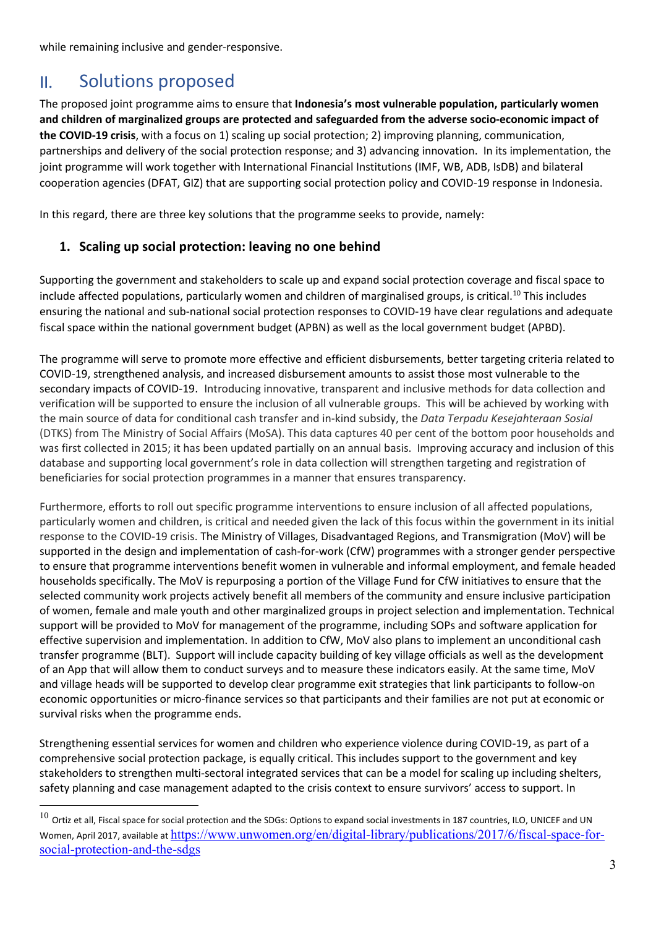while remaining inclusive and gender-responsive.

## II. Solutions proposed

The proposed joint programme aims to ensure that **Indonesia's most vulnerable population, particularly women and children of marginalized groups are protected and safeguarded from the adverse socio-economic impact of the COVID-19 crisis**, with a focus on 1) scaling up social protection; 2) improving planning, communication, partnerships and delivery of the social protection response; and 3) advancing innovation. In its implementation, the joint programme will work together with International Financial Institutions (IMF, WB, ADB, IsDB) and bilateral cooperation agencies (DFAT, GIZ) that are supporting social protection policy and COVID-19 response in Indonesia.

In this regard, there are three key solutions that the programme seeks to provide, namely:

### **1. Scaling up social protection: leaving no one behind**

Supporting the government and stakeholders to scale up and expand social protection coverage and fiscal space to include affected populations, particularly women and children of marginalised groups, is critical.<sup>[10](#page-2-0)</sup> This includes ensuring the national and sub-national social protection responses to COVID-19 have clear regulations and adequate fiscal space within the national government budget (APBN) as well as the local government budget (APBD).

The programme will serve to promote more effective and efficient disbursements, better targeting criteria related to COVID-19, strengthened analysis, and increased disbursement amounts to assist those most vulnerable to the secondary impacts of COVID-19. Introducing innovative, transparent and inclusive methods for data collection and verification will be supported to ensure the inclusion of all vulnerable groups. This will be achieved by working with the main source of data for conditional cash transfer and in-kind subsidy, the *Data Terpadu Kesejahteraan Sosial* (DTKS) from The Ministry of Social Affairs (MoSA). This data captures 40 per cent of the bottom poor households and was first collected in 2015; it has been updated partially on an annual basis. Improving accuracy and inclusion of this database and supporting local government's role in data collection will strengthen targeting and registration of beneficiaries for social protection programmes in a manner that ensures transparency.

Furthermore, efforts to roll out specific programme interventions to ensure inclusion of all affected populations, particularly women and children, is critical and needed given the lack of this focus within the government in its initial response to the COVID-19 crisis. The Ministry of Villages, Disadvantaged Regions, and Transmigration (MoV) will be supported in the design and implementation of cash-for-work (CfW) programmes with a stronger gender perspective to ensure that programme interventions benefit women in vulnerable and informal employment, and female headed households specifically. The MoV is repurposing a portion of the Village Fund for CfW initiatives to ensure that the selected community work projects actively benefit all members of the community and ensure inclusive participation of women, female and male youth and other marginalized groups in project selection and implementation. Technical support will be provided to MoV for management of the programme, including SOPs and software application for effective supervision and implementation. In addition to CfW, MoV also plans to implement an unconditional cash transfer programme (BLT). Support will include capacity building of key village officials as well as the development of an App that will allow them to conduct surveys and to measure these indicators easily. At the same time, MoV and village heads will be supported to develop clear programme exit strategies that link participants to follow-on economic opportunities or micro-finance services so that participants and their families are not put at economic or survival risks when the programme ends.

Strengthening essential services for women and children who experience violence during COVID-19, as part of a comprehensive social protection package, is equally critical. This includes support to the government and key stakeholders to strengthen multi-sectoral integrated services that can be a model for scaling up including shelters, safety planning and case management adapted to the crisis context to ensure survivors' access to support. In

<span id="page-2-0"></span> $^{10}$  Ortiz et all, Fiscal space for social protection and the SDGs: Options to expand social investments in 187 countries, ILO, UNICEF and UN Women, April 2017, available at [https://www.unwomen.org/en/digital-library/publications/2017/6/fiscal-space-for](https://www.unwomen.org/en/digital-library/publications/2017/6/fiscal-space-for-social-protection-and-the-sdgs)[social-protection-and-the-sdgs](https://www.unwomen.org/en/digital-library/publications/2017/6/fiscal-space-for-social-protection-and-the-sdgs)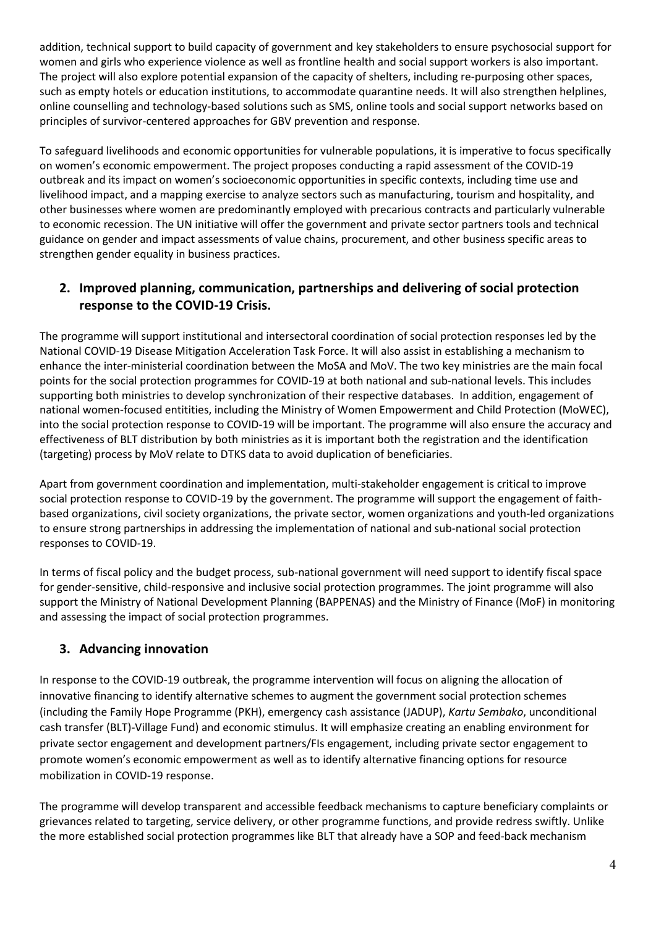addition, technical support to build capacity of government and key stakeholders to ensure psychosocial support for women and girls who experience violence as well as frontline health and social support workers is also important. The project will also explore potential expansion of the capacity of shelters, including re-purposing other spaces, such as empty hotels or education institutions, to accommodate quarantine needs. It will also strengthen helplines, online counselling and technology-based solutions such as SMS, online tools and social support networks based on principles of survivor-centered approaches for GBV prevention and response.

To safeguard livelihoods and economic opportunities for vulnerable populations, it is imperative to focus specifically on women's economic empowerment. The project proposes conducting a rapid assessment of the COVID-19 outbreak and its impact on women's socioeconomic opportunities in specific contexts, including time use and livelihood impact, and a mapping exercise to analyze sectors such as manufacturing, tourism and hospitality, and other businesses where women are predominantly employed with precarious contracts and particularly vulnerable to economic recession. The UN initiative will offer the government and private sector partners tools and technical guidance on gender and impact assessments of value chains, procurement, and other business specific areas to strengthen gender equality in business practices.

### **2. Improved planning, communication, partnerships and delivering of social protection response to the COVID-19 Crisis.**

The programme will support institutional and intersectoral coordination of social protection responses led by the National COVID-19 Disease Mitigation Acceleration Task Force. It will also assist in establishing a mechanism to enhance the inter-ministerial coordination between the MoSA and MoV. The two key ministries are the main focal points for the social protection programmes for COVID-19 at both national and sub-national levels. This includes supporting both ministries to develop synchronization of their respective databases. In addition, engagement of national women-focused entitities, including the Ministry of Women Empowerment and Child Protection (MoWEC), into the social protection response to COVID-19 will be important. The programme will also ensure the accuracy and effectiveness of BLT distribution by both ministries as it is important both the registration and the identification (targeting) process by MoV relate to DTKS data to avoid duplication of beneficiaries.

Apart from government coordination and implementation, multi-stakeholder engagement is critical to improve social protection response to COVID-19 by the government. The programme will support the engagement of faithbased organizations, civil society organizations, the private sector, women organizations and youth-led organizations to ensure strong partnerships in addressing the implementation of national and sub-national social protection responses to COVID-19.

In terms of fiscal policy and the budget process, sub-national government will need support to identify fiscal space for gender-sensitive, child-responsive and inclusive social protection programmes. The joint programme will also support the Ministry of National Development Planning (BAPPENAS) and the Ministry of Finance (MoF) in monitoring and assessing the impact of social protection programmes.

### **3. Advancing innovation**

In response to the COVID-19 outbreak, the programme intervention will focus on aligning the allocation of innovative financing to identify alternative schemes to augment the government social protection schemes (including the Family Hope Programme (PKH), emergency cash assistance (JADUP), *Kartu Sembako*, unconditional cash transfer (BLT)-Village Fund) and economic stimulus. It will emphasize creating an enabling environment for private sector engagement and development partners/FIs engagement, including private sector engagement to promote women's economic empowerment as well as to identify alternative financing options for resource mobilization in COVID-19 response.

The programme will develop transparent and accessible feedback mechanisms to capture beneficiary complaints or grievances related to targeting, service delivery, or other programme functions, and provide redress swiftly. Unlike the more established social protection programmes like BLT that already have a SOP and feed-back mechanism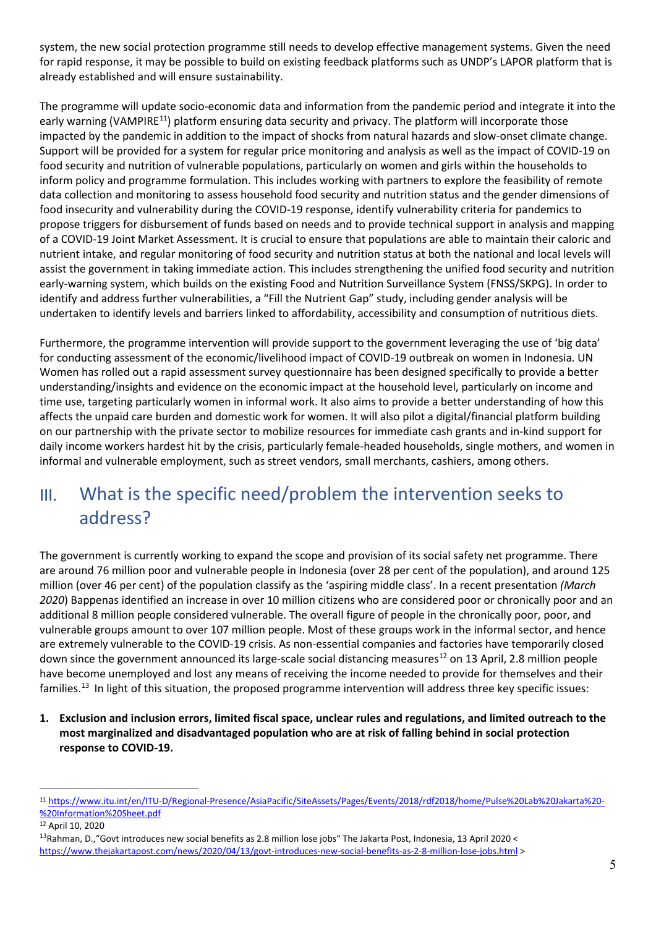system, the new social protection programme still needs to develop effective management systems. Given the need for rapid response, it may be possible to build on existing feedback platforms such as UNDP's LAPOR platform that is already established and will ensure sustainability.

The programme will update socio-economic data and information from the pandemic period and integrate it into the early warning (VAMPIRE<sup>11</sup>) platform ensuring data security and privacy. The platform will incorporate those impacted by the pandemic in addition to the impact of shocks from natural hazards and slow-onset climate change. Support will be provided for a system for regular price monitoring and analysis as well as the impact of COVID-19 on food security and nutrition of vulnerable populations, particularly on women and girls within the households to inform policy and programme formulation. This includes working with partners to explore the feasibility of remote data collection and monitoring to assess household food security and nutrition status and the gender dimensions of food insecurity and vulnerability during the COVID-19 response, identify vulnerability criteria for pandemics to propose triggers for disbursement of funds based on needs and to provide technical support in analysis and mapping of a COVID-19 Joint Market Assessment. It is crucial to ensure that populations are able to maintain their caloric and nutrient intake, and regular monitoring of food security and nutrition status at both the national and local levels will assist the government in taking immediate action. This includes strengthening the unified food security and nutrition early-warning system, which builds on the existing Food and Nutrition Surveillance System (FNSS/SKPG). In order to identify and address further vulnerabilities, a "Fill the Nutrient Gap" study, including gender analysis will be undertaken to identify levels and barriers linked to affordability, accessibility and consumption of nutritious diets.

Furthermore, the programme intervention will provide support to the government leveraging the use of 'big data' for conducting assessment of the economic/livelihood impact of COVID-19 outbreak on women in Indonesia. UN Women has rolled out a rapid assessment survey questionnaire has been designed specifically to provide a better understanding/insights and evidence on the economic impact at the household level, particularly on income and time use, targeting particularly women in informal work. It also aims to provide a better understanding of how this affects the unpaid care burden and domestic work for women. It will also pilot a digital/financial platform building on our partnership with the private sector to mobilize resources for immediate cash grants and in-kind support for daily income workers hardest hit by the crisis, particularly female-headed households, single mothers, and women in informal and vulnerable employment, such as street vendors, small merchants, cashiers, among others.

# III. What is the specific need/problem the intervention seeks to address?

The government is currently working to expand the scope and provision of its social safety net programme. There are around 76 million poor and vulnerable people in Indonesia (over 28 per cent of the population), and around 125 million (over 46 per cent) of the population classify as the 'aspiring middle class'. In a recent presentation *(March 2020*) Bappenas identified an increase in over 10 million citizens who are considered poor or chronically poor and an additional 8 million people considered vulnerable. The overall figure of people in the chronically poor, poor, and vulnerable groups amount to over 107 million people. Most of these groups work in the informal sector, and hence are extremely vulnerable to the COVID-19 crisis. As non-essential companies and factories have temporarily closed down since the government announced its large-scale social distancing measures<sup>[12](#page-4-1)</sup> on 13 April, 2.8 million people have become unemployed and lost any means of receiving the income needed to provide for themselves and their families.[13](#page-4-2) In light of this situation, the proposed programme intervention will address three key specific issues:

**1. Exclusion and inclusion errors, limited fiscal space, unclear rules and regulations, and limited outreach to the most marginalized and disadvantaged population who are at risk of falling behind in social protection response to COVID-19.** 

<span id="page-4-0"></span><sup>11</sup> [https://www.itu.int/en/ITU-D/Regional-Presence/AsiaPacific/SiteAssets/Pages/Events/2018/rdf2018/home/Pulse%20Lab%20Jakarta%20-](https://www.itu.int/en/ITU-D/Regional-Presence/AsiaPacific/SiteAssets/Pages/Events/2018/rdf2018/home/Pulse%20Lab%20Jakarta%20-%20Information%20Sheet.pdf) [%20Information%20Sheet.pdf](https://www.itu.int/en/ITU-D/Regional-Presence/AsiaPacific/SiteAssets/Pages/Events/2018/rdf2018/home/Pulse%20Lab%20Jakarta%20-%20Information%20Sheet.pdf)

<span id="page-4-1"></span><sup>12</sup> April 10, 2020

<span id="page-4-2"></span><sup>&</sup>lt;sup>13</sup>Rahman, D.,"Govt introduces new social benefits as 2.8 million lose jobs" The Jakarta Post, Indonesia, 13 April 2020 < https://www.thejakartapost.com/news/2020/04/13/govt-introduces-new-social-benefits-as-2-8-million-lose-jobs.html >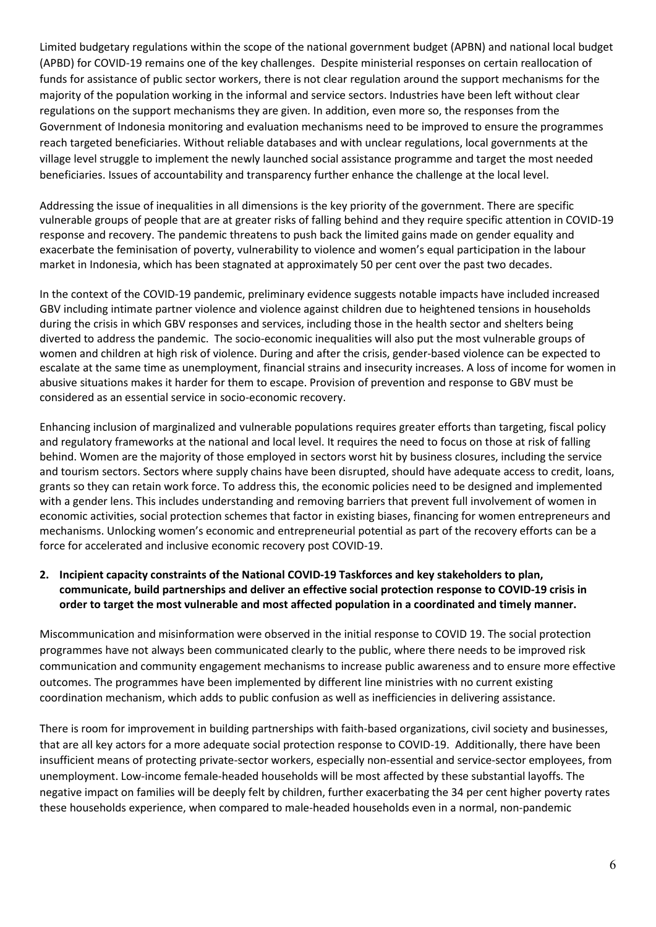Limited budgetary regulations within the scope of the national government budget (APBN) and national local budget (APBD) for COVID-19 remains one of the key challenges. Despite ministerial responses on certain reallocation of funds for assistance of public sector workers, there is not clear regulation around the support mechanisms for the majority of the population working in the informal and service sectors. Industries have been left without clear regulations on the support mechanisms they are given. In addition, even more so, the responses from the Government of Indonesia monitoring and evaluation mechanisms need to be improved to ensure the programmes reach targeted beneficiaries. Without reliable databases and with unclear regulations, local governments at the village level struggle to implement the newly launched social assistance programme and target the most needed beneficiaries. Issues of accountability and transparency further enhance the challenge at the local level.

Addressing the issue of inequalities in all dimensions is the key priority of the government. There are specific vulnerable groups of people that are at greater risks of falling behind and they require specific attention in COVID-19 response and recovery. The pandemic threatens to push back the limited gains made on gender equality and exacerbate the feminisation of poverty, vulnerability to violence and women's equal participation in the labour market in Indonesia, which has been stagnated at approximately 50 per cent over the past two decades.

In the context of the COVID-19 pandemic, preliminary evidence suggests notable impacts have included increased GBV including intimate partner violence and violence against children due to heightened tensions in households during the crisis in which GBV responses and services, including those in the health sector and shelters being diverted to address the pandemic. The socio-economic inequalities will also put the most vulnerable groups of women and children at high risk of violence. During and after the crisis, gender-based violence can be expected to escalate at the same time as unemployment, financial strains and insecurity increases. A loss of income for women in abusive situations makes it harder for them to escape. Provision of prevention and response to GBV must be considered as an essential service in socio-economic recovery.

Enhancing inclusion of marginalized and vulnerable populations requires greater efforts than targeting, fiscal policy and regulatory frameworks at the national and local level. It requires the need to focus on those at risk of falling behind. Women are the majority of those employed in sectors worst hit by business closures, including the service and tourism sectors. Sectors where supply chains have been disrupted, should have adequate access to credit, loans, grants so they can retain work force. To address this, the economic policies need to be designed and implemented with a gender lens. This includes understanding and removing barriers that prevent full involvement of women in economic activities, social protection schemes that factor in existing biases, financing for women entrepreneurs and mechanisms. Unlocking women's economic and entrepreneurial potential as part of the recovery efforts can be a force for accelerated and inclusive economic recovery post COVID-19.

### **2. Incipient capacity constraints of the National COVID-19 Taskforces and key stakeholders to plan, communicate, build partnerships and deliver an effective social protection response to COVID-19 crisis in order to target the most vulnerable and most affected population in a coordinated and timely manner.**

Miscommunication and misinformation were observed in the initial response to COVID 19. The social protection programmes have not always been communicated clearly to the public, where there needs to be improved risk communication and community engagement mechanisms to increase public awareness and to ensure more effective outcomes. The programmes have been implemented by different line ministries with no current existing coordination mechanism, which adds to public confusion as well as inefficiencies in delivering assistance.

There is room for improvement in building partnerships with faith-based organizations, civil society and businesses, that are all key actors for a more adequate social protection response to COVID-19. Additionally, there have been insufficient means of protecting private-sector workers, especially non-essential and service-sector employees, from unemployment. Low-income female-headed households will be most affected by these substantial layoffs. The negative impact on families will be deeply felt by children, further exacerbating the 34 per cent higher poverty rates these households experience, when compared to male-headed households even in a normal, non-pandemic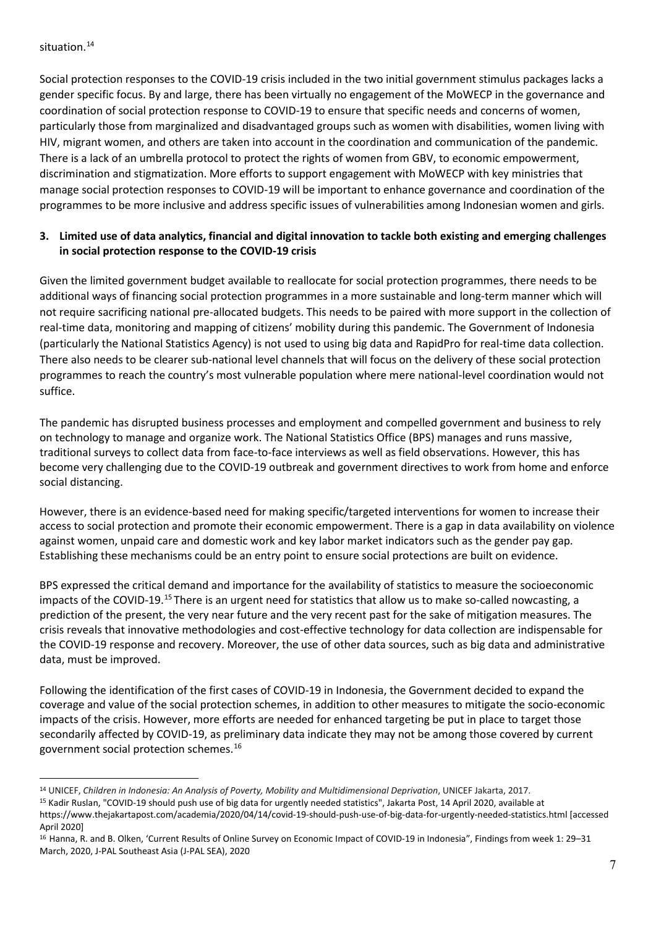#### situation.<sup>[14](#page-6-0)</sup>

Social protection responses to the COVID-19 crisis included in the two initial government stimulus packages lacks a gender specific focus. By and large, there has been virtually no engagement of the MoWECP in the governance and coordination of social protection response to COVID-19 to ensure that specific needs and concerns of women, particularly those from marginalized and disadvantaged groups such as women with disabilities, women living with HIV, migrant women, and others are taken into account in the coordination and communication of the pandemic. There is a lack of an umbrella protocol to protect the rights of women from GBV, to economic empowerment, discrimination and stigmatization. More efforts to support engagement with MoWECP with key ministries that manage social protection responses to COVID-19 will be important to enhance governance and coordination of the programmes to be more inclusive and address specific issues of vulnerabilities among Indonesian women and girls.

### **3. Limited use of data analytics, financial and digital innovation to tackle both existing and emerging challenges in social protection response to the COVID-19 crisis**

Given the limited government budget available to reallocate for social protection programmes, there needs to be additional ways of financing social protection programmes in a more sustainable and long-term manner which will not require sacrificing national pre-allocated budgets. This needs to be paired with more support in the collection of real-time data, monitoring and mapping of citizens' mobility during this pandemic. The Government of Indonesia (particularly the National Statistics Agency) is not used to using big data and RapidPro for real-time data collection. There also needs to be clearer sub-national level channels that will focus on the delivery of these social protection programmes to reach the country's most vulnerable population where mere national-level coordination would not suffice.

The pandemic has disrupted business processes and employment and compelled government and business to rely on technology to manage and organize work. The National Statistics Office (BPS) manages and runs massive, traditional surveys to collect data from face-to-face interviews as well as field observations. However, this has become very challenging due to the COVID-19 outbreak and government directives to work from home and enforce social distancing.

However, there is an evidence-based need for making specific/targeted interventions for women to increase their access to social protection and promote their economic empowerment. There is a gap in data availability on violence against women, unpaid care and domestic work and key labor market indicators such as the gender pay gap. Establishing these mechanisms could be an entry point to ensure social protections are built on evidence.

BPS expressed the critical demand and importance for the availability of statistics to measure the socioeconomic impacts of the COVID-19.[15](#page-6-1) There is an urgent need for statistics that allow us to make so-called nowcasting, a prediction of the present, the very near future and the very recent past for the sake of mitigation measures. The crisis reveals that innovative methodologies and cost-effective technology for data collection are indispensable for the COVID-19 response and recovery. Moreover, the use of other data sources, such as big data and administrative data, must be improved.

Following the identification of the first cases of COVID-19 in Indonesia, the Government decided to expand the coverage and value of the social protection schemes, in addition to other measures to mitigate the socio-economic impacts of the crisis. However, more efforts are needed for enhanced targeting be put in place to target those secondarily affected by COVID-19, as preliminary data indicate they may not be among those covered by current government social protection schemes.[16](#page-6-2)

<span id="page-6-0"></span><sup>14</sup> UNICEF, *Children in Indonesia: An Analysis of Poverty, Mobility and Multidimensional Deprivation*, UNICEF Jakarta, 2017.

<span id="page-6-1"></span><sup>15</sup> Kadir Ruslan, "COVID-19 should push use of big data for urgently needed statistics", Jakarta Post, 14 April 2020, available at

https://www.thejakartapost.com/academia/2020/04/14/covid-19-should-push-use-of-big-data-for-urgently-needed-statistics.html [accessed April 2020]

<span id="page-6-2"></span><sup>16</sup> Hanna, R. and B. Olken, 'Current Results of Online Survey on Economic Impact of COVID-19 in Indonesia", Findings from week 1: 29–31 March, 2020, J-PAL Southeast Asia (J-PAL SEA), 2020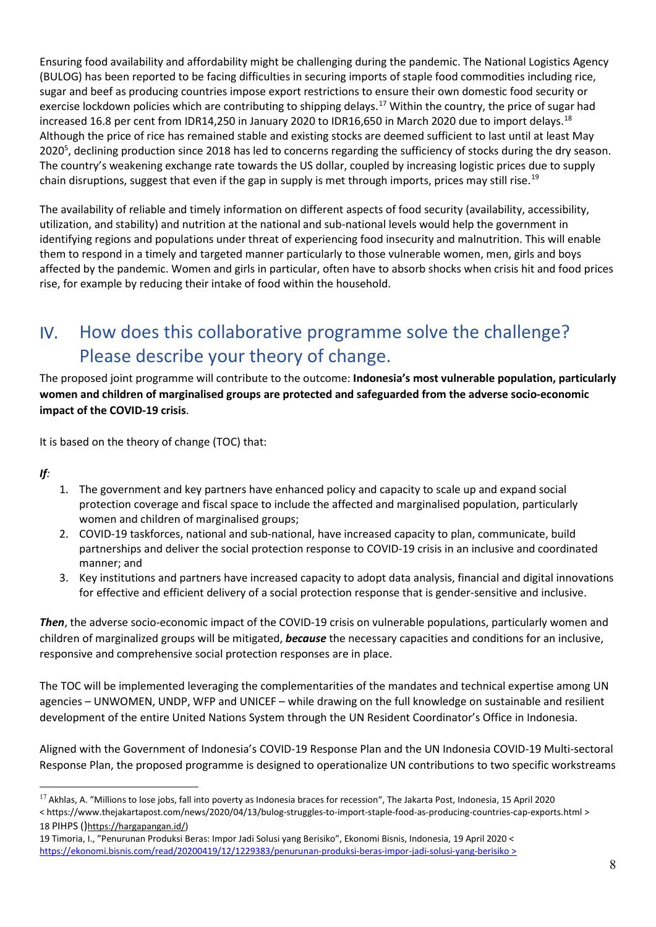Ensuring food availability and affordability might be challenging during the pandemic. The National Logistics Agency (BULOG) has been reported to be facing difficulties in securing imports of staple food commodities including rice, sugar and beef as producing countries impose export restrictions to ensure their own domestic food security or exercise lockdown policies which are contributing to shipping delays.<sup>[17](#page-7-0)</sup> Within the country, the price of sugar had increased 16.8 per cent from IDR14,250 in January 2020 to IDR16,650 in March 2020 due to import delays.<sup>[18](#page-7-1)</sup> Although the price of rice has remained stable and existing stocks are deemed sufficient to last until at least May 2020<sup>5</sup>, declining production since 2018 has led to concerns regarding the sufficiency of stocks during the dry season. The country's weakening exchange rate towards the US dollar, coupled by increasing logistic prices due to supply chain disruptions, suggest that even if the gap in supply is met through imports, prices may still rise.<sup>[19](#page-7-2)</sup>

The availability of reliable and timely information on different aspects of food security (availability, accessibility, utilization, and stability) and nutrition at the national and sub-national levels would help the government in identifying regions and populations under threat of experiencing food insecurity and malnutrition. This will enable them to respond in a timely and targeted manner particularly to those vulnerable women, men, girls and boys affected by the pandemic. Women and girls in particular, often have to absorb shocks when crisis hit and food prices rise, for example by reducing their intake of food within the household.

# IV. How does this collaborative programme solve the challenge? Please describe your theory of change.

The proposed joint programme will contribute to the outcome: **Indonesia's most vulnerable population, particularly women and children of marginalised groups are protected and safeguarded from the adverse socio-economic impact of the COVID-19 crisis**.

It is based on the theory of change (TOC) that:

*If:*

- 1. The government and key partners have enhanced policy and capacity to scale up and expand social protection coverage and fiscal space to include the affected and marginalised population, particularly women and children of marginalised groups;
- 2. COVID-19 taskforces, national and sub-national, have increased capacity to plan, communicate, build partnerships and deliver the social protection response to COVID-19 crisis in an inclusive and coordinated manner; and
- 3. Key institutions and partners have increased capacity to adopt data analysis, financial and digital innovations for effective and efficient delivery of a social protection response that is gender-sensitive and inclusive.

*Then*, the adverse socio-economic impact of the COVID-19 crisis on vulnerable populations, particularly women and children of marginalized groups will be mitigated, *because* the necessary capacities and conditions for an inclusive, responsive and comprehensive social protection responses are in place.

The TOC will be implemented leveraging the complementarities of the mandates and technical expertise among UN agencies – UNWOMEN, UNDP, WFP and UNICEF – while drawing on the full knowledge on sustainable and resilient development of the entire United Nations System through the UN Resident Coordinator's Office in Indonesia.

Aligned with the Government of Indonesia's COVID-19 Response Plan and the UN Indonesia COVID-19 Multi-sectoral Response Plan, the proposed programme is designed to operationalize UN contributions to two specific workstreams

<span id="page-7-0"></span> $17$  Akhlas, A. "Millions to lose jobs, fall into poverty as Indonesia braces for recession", The Jakarta Post, Indonesia, 15 April 2020 < https://www.thejakartapost.com/news/2020/04/13/bulog-struggles-to-import-staple-food-as-producing-countries-cap-exports.html > 18 PIHPS ()https://hargapangan.id/)

<span id="page-7-2"></span><span id="page-7-1"></span><sup>19</sup> Timoria, I., "Penurunan Produksi Beras: Impor Jadi Solusi yang Berisiko", Ekonomi Bisnis, Indonesia, 19 April 2020 < <https://ekonomi.bisnis.com/read/20200419/12/1229383/penurunan-produksi-beras-impor-jadi-solusi-yang-berisiko> >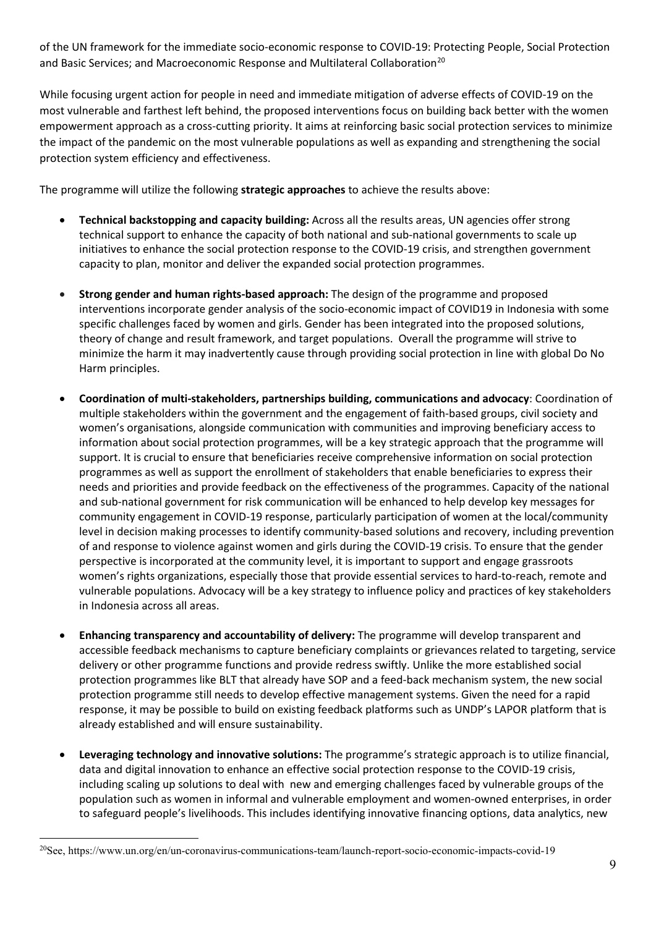of the UN framework for the immediate socio-economic response to COVID-19: Protecting People, Social Protection and Basic Services; and Macroeconomic Response and Multilateral Collaboration<sup>[20](#page-8-0)</sup>

While focusing urgent action for people in need and immediate mitigation of adverse effects of COVID-19 on the most vulnerable and farthest left behind, the proposed interventions focus on building back better with the women empowerment approach as a cross-cutting priority. It aims at reinforcing basic social protection services to minimize the impact of the pandemic on the most vulnerable populations as well as expanding and strengthening the social protection system efficiency and effectiveness.

The programme will utilize the following **strategic approaches** to achieve the results above:

- **Technical backstopping and capacity building:** Across all the results areas, UN agencies offer strong technical support to enhance the capacity of both national and sub-national governments to scale up initiatives to enhance the social protection response to the COVID-19 crisis, and strengthen government capacity to plan, monitor and deliver the expanded social protection programmes.
- **Strong gender and human rights-based approach:** The design of the programme and proposed interventions incorporate gender analysis of the socio-economic impact of COVID19 in Indonesia with some specific challenges faced by women and girls. Gender has been integrated into the proposed solutions, theory of change and result framework, and target populations. Overall the programme will strive to minimize the harm it may inadvertently cause through providing social protection in line with global Do No Harm principles.
- **Coordination of multi-stakeholders, partnerships building, communications and advocacy**: Coordination of multiple stakeholders within the government and the engagement of faith-based groups, civil society and women's organisations, alongside communication with communities and improving beneficiary access to information about social protection programmes, will be a key strategic approach that the programme will support. It is crucial to ensure that beneficiaries receive comprehensive information on social protection programmes as well as support the enrollment of stakeholders that enable beneficiaries to express their needs and priorities and provide feedback on the effectiveness of the programmes. Capacity of the national and sub-national government for risk communication will be enhanced to help develop key messages for community engagement in COVID-19 response, particularly participation of women at the local/community level in decision making processes to identify community-based solutions and recovery, including prevention of and response to violence against women and girls during the COVID-19 crisis. To ensure that the gender perspective is incorporated at the community level, it is important to support and engage grassroots women's rights organizations, especially those that provide essential services to hard-to-reach, remote and vulnerable populations. Advocacy will be a key strategy to influence policy and practices of key stakeholders in Indonesia across all areas.
- **Enhancing transparency and accountability of delivery:** The programme will develop transparent and accessible feedback mechanisms to capture beneficiary complaints or grievances related to targeting, service delivery or other programme functions and provide redress swiftly. Unlike the more established social protection programmes like BLT that already have SOP and a feed-back mechanism system, the new social protection programme still needs to develop effective management systems. Given the need for a rapid response, it may be possible to build on existing feedback platforms such as UNDP's LAPOR platform that is already established and will ensure sustainability.
- **Leveraging technology and innovative solutions:** The programme's strategic approach is to utilize financial, data and digital innovation to enhance an effective social protection response to the COVID-19 crisis, including scaling up solutions to deal with new and emerging challenges faced by vulnerable groups of the population such as women in informal and vulnerable employment and women-owned enterprises, in order to safeguard people's livelihoods. This includes identifying innovative financing options, data analytics, new

<span id="page-8-0"></span><sup>20</sup>See, https://www.un.org/en/un-coronavirus-communications-team/launch-report-socio-economic-impacts-covid-19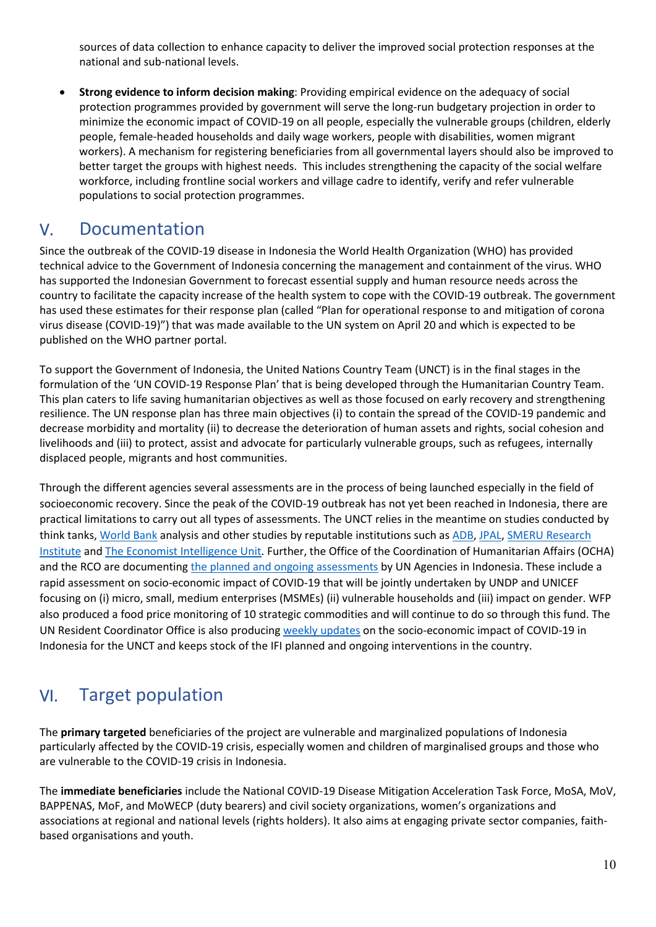sources of data collection to enhance capacity to deliver the improved social protection responses at the national and sub-national levels.

• **Strong evidence to inform decision making**: Providing empirical evidence on the adequacy of social protection programmes provided by government will serve the long-run budgetary projection in order to minimize the economic impact of COVID-19 on all people, especially the vulnerable groups (children, elderly people, female-headed households and daily wage workers, people with disabilities, women migrant workers). A mechanism for registering beneficiaries from all governmental layers should also be improved to better target the groups with highest needs. This includes strengthening the capacity of the social welfare workforce, including frontline social workers and village cadre to identify, verify and refer vulnerable populations to social protection programmes.

### V. Documentation

Since the outbreak of the COVID-19 disease in Indonesia the World Health Organization (WHO) has provided technical advice to the Government of Indonesia concerning the management and containment of the virus. WHO has supported the Indonesian Government to forecast essential supply and human resource needs across the country to facilitate the capacity increase of the health system to cope with the COVID-19 outbreak. The government has used these estimates for their response plan (called "Plan for operational response to and mitigation of corona virus disease (COVID-19)") that was made available to the UN system on April 20 and which is expected to be published on the WHO partner portal.

To support the Government of Indonesia, the United Nations Country Team (UNCT) is in the final stages in the formulation of the 'UN COVID-19 Response Plan' that is being developed through the Humanitarian Country Team. This plan caters to life saving humanitarian objectives as well as those focused on early recovery and strengthening resilience. The UN response plan has three main objectives (i) to contain the spread of the COVID-19 pandemic and decrease morbidity and mortality (ii) to decrease the deterioration of human assets and rights, social cohesion and livelihoods and (iii) to protect, assist and advocate for particularly vulnerable groups, such as refugees, internally displaced people, migrants and host communities.

Through the different agencies several assessments are in the process of being launched especially in the field of socioeconomic recovery. Since the peak of the COVID-19 outbreak has not yet been reached in Indonesia, there are practical limitations to carry out all types of assessments. The UNCT relies in the meantime on studies conducted by think tanks, World Bank analysis and other studies by reputable institutions such as ADB, JPAL, SMERU Research Institute an[d The Economist Intelligence Unit.](http://country.eiu.com/indonesia) Further, the Office of the Coordination of Humanitarian Affairs (OCHA) and the RCO are documenting [the planned and ongoing assessments](https://eur03.safelinks.protection.outlook.com/?url=https%3A%2F%2Fdocs.google.com%2Fspreadsheets%2Fd%2F1IohiQJxsT2I4NAZ8O2NSyIpRBxd-s2mXnUrUnstca0w%2Fedit%23gid%3D544245823&data=02%7C01%7Cdiandra.pratami%40one.un.org%7Ca5643c238a9f4c7ae3fd08d7e5fa97b1%7Cb3e5db5e2944483799f57488ace54319%7C0%7C0%7C637230736755104498&sdata=bquDPSVb7XtVu0J6nJSLOhukQCN3vFBzEcR5nwsDgiY%3D&reserved=0) by UN Agencies in Indonesia. These include a rapid assessment on socio-economic impact of COVID-19 that will be jointly undertaken by UNDP and UNICEF focusing on (i) micro, small, medium enterprises (MSMEs) (ii) vulnerable households and (iii) impact on gender. WFP also produced a food price monitoring of 10 strategic commodities and will continue to do so through this fund. The UN Resident Coordinator Office is also producing [weekly updates](https://eur03.safelinks.protection.outlook.com/?url=https%3A%2F%2Fundp.sharepoint.com%2Fsites%2FUNRCOinIndonesia%2FShared%2520Documents%2FCOVID-19%2FCovid-19%2520Socio-economic%2520impact%2FWeekly%2520Update%2520for%2520UNCT&data=02%7C01%7Cdiandra.pratami%40one.un.org%7Ca5643c238a9f4c7ae3fd08d7e5fa97b1%7Cb3e5db5e2944483799f57488ace54319%7C0%7C0%7C637230736755114499&sdata=0HCQy%2BJZ7Irb51YpDx5p3Ps%2BvhcEJNP1A8qblDXxdys%3D&reserved=0) on the socio-economic impact of COVID-19 in Indonesia for the UNCT and keeps stock of the IFI planned and ongoing interventions in the country.

## VI. Target population

The **primary targeted** beneficiaries of the project are vulnerable and marginalized populations of Indonesia particularly affected by the COVID-19 crisis, especially women and children of marginalised groups and those who are vulnerable to the COVID-19 crisis in Indonesia.

The **immediate beneficiaries** include the National COVID-19 Disease Mitigation Acceleration Task Force, MoSA, MoV, BAPPENAS, MoF, and MoWECP (duty bearers) and civil society organizations, women's organizations and associations at regional and national levels (rights holders). It also aims at engaging private sector companies, faithbased organisations and youth.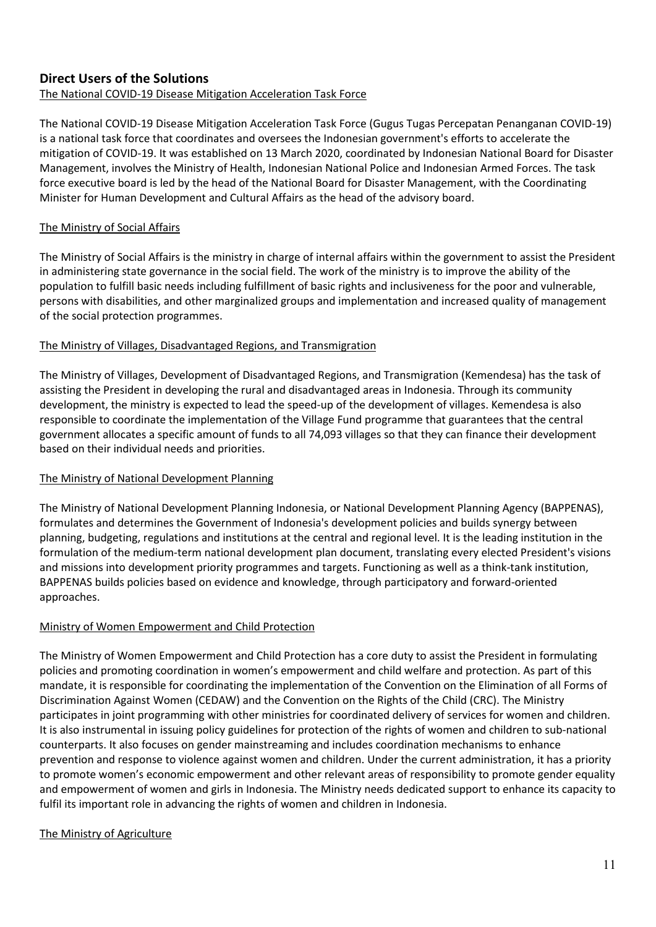### **Direct Users of the Solutions**

### The National COVID-19 Disease Mitigation Acceleration Task Force

The National COVID-19 Disease Mitigation Acceleration Task Force (Gugus Tugas Percepatan Penanganan COVID-19) is a national task force that coordinates and oversees the Indonesian government's efforts to accelerate the mitigation of COVID-19. It was established on 13 March 2020, coordinated by Indonesian National Board for Disaster Management, involves the Ministry of Health, Indonesian National Police and Indonesian Armed Forces. The task force executive board is led by the head of the National Board for Disaster Management, with the Coordinating Minister for Human Development and Cultural Affairs as the head of the advisory board.

### The Ministry of Social Affairs

The Ministry of Social Affairs is the ministry in charge of internal affairs within the government to assist the President in administering state governance in the social field. The work of the ministry is to improve the ability of the population to fulfill basic needs including fulfillment of basic rights and inclusiveness for the poor and vulnerable, persons with disabilities, and other marginalized groups and implementation and increased quality of management of the social protection programmes.

### The Ministry of Villages, Disadvantaged Regions, and Transmigration

The Ministry of Villages, Development of Disadvantaged Regions, and Transmigration (Kemendesa) has the task of assisting the President in developing the rural and disadvantaged areas in Indonesia. Through its community development, the ministry is expected to lead the speed-up of the development of villages. Kemendesa is also responsible to coordinate the implementation of the Village Fund programme that guarantees that the central government allocates a specific amount of funds to all 74,093 villages so that they can finance their development based on their individual needs and priorities.

### The Ministry of National Development Planning

The Ministry of National Development Planning Indonesia, or National Development Planning Agency (BAPPENAS), formulates and determines the Government of Indonesia's development policies and builds synergy between planning, budgeting, regulations and institutions at the central and regional level. It is the leading institution in the formulation of the medium-term national development plan document, translating every elected President's visions and missions into development priority programmes and targets. Functioning as well as a think-tank institution, BAPPENAS builds policies based on evidence and knowledge, through participatory and forward-oriented approaches.

### Ministry of Women Empowerment and Child Protection

The Ministry of Women Empowerment and Child Protection has a core duty to assist the President in formulating policies and promoting coordination in women's empowerment and child welfare and protection. As part of this mandate, it is responsible for coordinating the implementation of the Convention on the Elimination of all Forms of Discrimination Against Women (CEDAW) and the Convention on the Rights of the Child (CRC). The Ministry participates in joint programming with other ministries for coordinated delivery of services for women and children. It is also instrumental in issuing policy guidelines for protection of the rights of women and children to sub-national counterparts. It also focuses on gender mainstreaming and includes coordination mechanisms to enhance prevention and response to violence against women and children. Under the current administration, it has a priority to promote women's economic empowerment and other relevant areas of responsibility to promote gender equality and empowerment of women and girls in Indonesia. The Ministry needs dedicated support to enhance its capacity to fulfil its important role in advancing the rights of women and children in Indonesia.

### The Ministry of Agriculture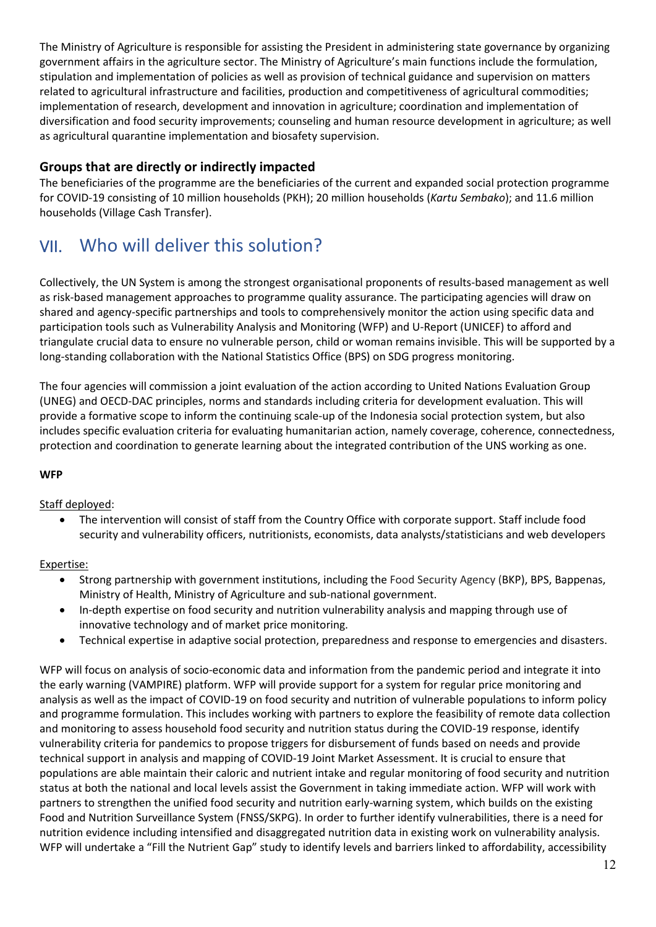The Ministry of Agriculture is responsible for assisting the President in administering state governance by organizing government affairs in the agriculture sector. The Ministry of Agriculture's main functions include the formulation, stipulation and implementation of policies as well as provision of technical guidance and supervision on matters related to agricultural infrastructure and facilities, production and competitiveness of agricultural commodities; implementation of research, development and innovation in agriculture; coordination and implementation of diversification and food security improvements; counseling and human resource development in agriculture; as well as agricultural quarantine implementation and biosafety supervision.

### **Groups that are directly or indirectly impacted**

The beneficiaries of the programme are the beneficiaries of the current and expanded social protection programme for COVID-19 consisting of 10 million households (PKH); 20 million households (*Kartu Sembako*); and 11.6 million households (Village Cash Transfer).

## VII. Who will deliver this solution?

Collectively, the UN System is among the strongest organisational proponents of results-based management as well as risk-based management approaches to programme quality assurance. The participating agencies will draw on shared and agency-specific partnerships and tools to comprehensively monitor the action using specific data and participation tools such as Vulnerability Analysis and Monitoring (WFP) and U-Report (UNICEF) to afford and triangulate crucial data to ensure no vulnerable person, child or woman remains invisible. This will be supported by a long-standing collaboration with the National Statistics Office (BPS) on SDG progress monitoring.

The four agencies will commission a joint evaluation of the action according to United Nations Evaluation Group (UNEG) and OECD-DAC principles, norms and standards including criteria for development evaluation. This will provide a formative scope to inform the continuing scale-up of the Indonesia social protection system, but also includes specific evaluation criteria for evaluating humanitarian action, namely coverage, coherence, connectedness, protection and coordination to generate learning about the integrated contribution of the UNS working as one.

### **WFP**

### Staff deployed:

• The intervention will consist of staff from the Country Office with corporate support. Staff include food security and vulnerability officers, nutritionists, economists, data analysts/statisticians and web developers

### Expertise:

- Strong partnership with government institutions, including the Food Security Agency (BKP), BPS, Bappenas, Ministry of Health, Ministry of Agriculture and sub-national government.
- In-depth expertise on food security and nutrition vulnerability analysis and mapping through use of innovative technology and of market price monitoring.
- Technical expertise in adaptive social protection, preparedness and response to emergencies and disasters.

WFP will focus on analysis of socio-economic data and information from the pandemic period and integrate it into the early warning (VAMPIRE) platform. WFP will provide support for a system for regular price monitoring and analysis as well as the impact of COVID-19 on food security and nutrition of vulnerable populations to inform policy and programme formulation. This includes working with partners to explore the feasibility of remote data collection and monitoring to assess household food security and nutrition status during the COVID-19 response, identify vulnerability criteria for pandemics to propose triggers for disbursement of funds based on needs and provide technical support in analysis and mapping of COVID-19 Joint Market Assessment. It is crucial to ensure that populations are able maintain their caloric and nutrient intake and regular monitoring of food security and nutrition status at both the national and local levels assist the Government in taking immediate action. WFP will work with partners to strengthen the unified food security and nutrition early-warning system, which builds on the existing Food and Nutrition Surveillance System (FNSS/SKPG). In order to further identify vulnerabilities, there is a need for nutrition evidence including intensified and disaggregated nutrition data in existing work on vulnerability analysis. WFP will undertake a "Fill the Nutrient Gap" study to identify levels and barriers linked to affordability, accessibility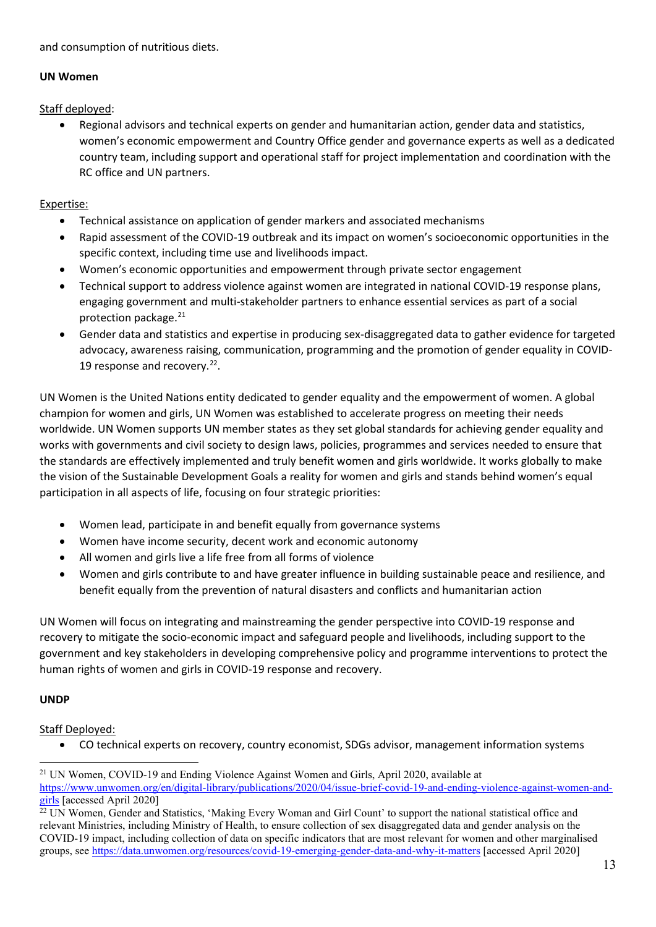and consumption of nutritious diets.

#### **UN Women**

Staff deployed:

• Regional advisors and technical experts on gender and humanitarian action, gender data and statistics, women's economic empowerment and Country Office gender and governance experts as well as a dedicated country team, including support and operational staff for project implementation and coordination with the RC office and UN partners.

### Expertise:

- Technical assistance on application of gender markers and associated mechanisms
- Rapid assessment of the COVID-19 outbreak and its impact on women's socioeconomic opportunities in the specific context, including time use and livelihoods impact.
- Women's economic opportunities and empowerment through private sector engagement
- Technical support to address violence against women are integrated in national COVID-19 response plans, engaging government and multi-stakeholder partners to enhance essential services as part of a social protection package.<sup>21</sup>
- Gender data and statistics and expertise in producing sex-disaggregated data to gather evidence for targeted advocacy, awareness raising, communication, programming and the promotion of gender equality in COVID-19 response and recovery.<sup>22</sup>.

UN Women is the United Nations entity dedicated to gender equality and the empowerment of women. A global champion for women and girls, UN Women was established to accelerate progress on meeting their needs worldwide. UN Women supports UN member states as they set global standards for achieving gender equality and works with governments and civil society to design laws, policies, programmes and services needed to ensure that the standards are effectively implemented and truly benefit women and girls worldwide. It works globally to make the vision of the Sustainable Development Goals a reality for women and girls and stands behind women's equal participation in all aspects of life, focusing on four strategic priorities:

- Women lead, participate in and benefit equally from governance systems
- Women have income security, decent work and economic autonomy
- All women and girls live a life free from all forms of violence
- Women and girls contribute to and have greater influence in building sustainable peace and resilience, and benefit equally from the prevention of natural disasters and conflicts and humanitarian action

UN Women will focus on integrating and mainstreaming the gender perspective into COVID-19 response and recovery to mitigate the socio-economic impact and safeguard people and livelihoods, including support to the government and key stakeholders in developing comprehensive policy and programme interventions to protect the human rights of women and girls in COVID-19 response and recovery.

### **UNDP**

Staff Deployed:

• CO technical experts on recovery, country economist, SDGs advisor, management information systems

<span id="page-12-0"></span><sup>&</sup>lt;sup>21</sup> UN Women, COVID-19 and Ending Violence Against Women and Girls, April 2020, available at

[https://www.unwomen.org/en/digital-library/publications/2020/04/issue-brief-covid-19-and-ending-violence-against-women-and](https://www.unwomen.org/en/digital-library/publications/2020/04/issue-brief-covid-19-and-ending-violence-against-women-and-girls)[girls](https://www.unwomen.org/en/digital-library/publications/2020/04/issue-brief-covid-19-and-ending-violence-against-women-and-girls) [accessed April 2020]

<span id="page-12-1"></span> $^{22}$  UN Women, Gender and Statistics, 'Making Every Woman and Girl Count' to support the national statistical office and relevant Ministries, including Ministry of Health, to ensure collection of sex disaggregated data and gender analysis on the COVID-19 impact, including collection of data on specific indicators that are most relevant for women and other marginalised groups, see<https://data.unwomen.org/resources/covid-19-emerging-gender-data-and-why-it-matters> [accessed April 2020]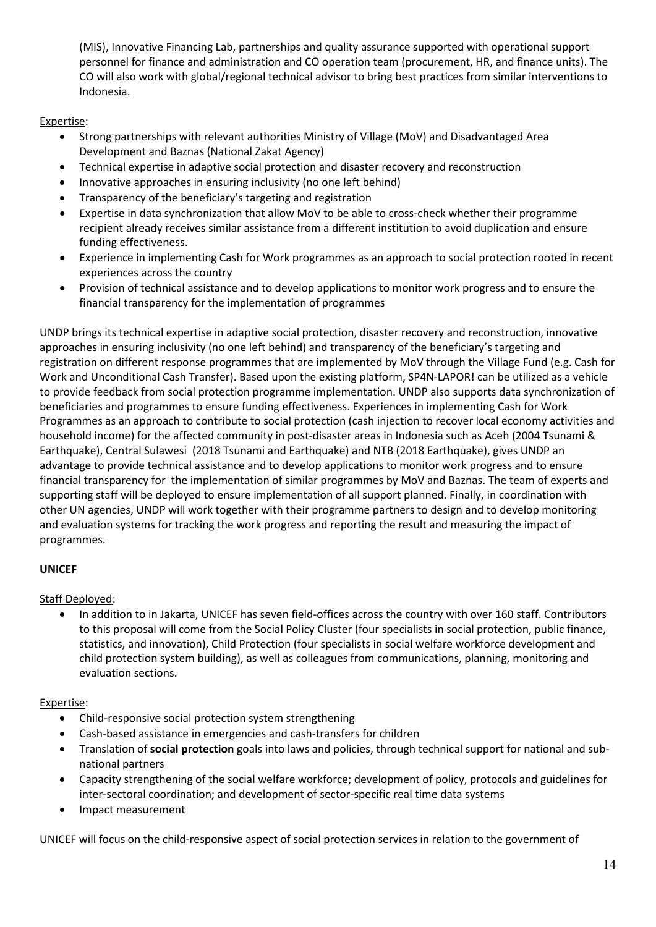(MIS), Innovative Financing Lab, partnerships and quality assurance supported with operational support personnel for finance and administration and CO operation team (procurement, HR, and finance units). The CO will also work with global/regional technical advisor to bring best practices from similar interventions to Indonesia.

### Expertise:

- Strong partnerships with relevant authorities Ministry of Village (MoV) and Disadvantaged Area Development and Baznas (National Zakat Agency)
- Technical expertise in adaptive social protection and disaster recovery and reconstruction
- Innovative approaches in ensuring inclusivity (no one left behind)
- Transparency of the beneficiary's targeting and registration
- Expertise in data synchronization that allow MoV to be able to cross-check whether their programme recipient already receives similar assistance from a different institution to avoid duplication and ensure funding effectiveness.
- Experience in implementing Cash for Work programmes as an approach to social protection rooted in recent experiences across the country
- Provision of technical assistance and to develop applications to monitor work progress and to ensure the financial transparency for the implementation of programmes

UNDP brings its technical expertise in adaptive social protection, disaster recovery and reconstruction, innovative approaches in ensuring inclusivity (no one left behind) and transparency of the beneficiary's targeting and registration on different response programmes that are implemented by MoV through the Village Fund (e.g. Cash for Work and Unconditional Cash Transfer). Based upon the existing platform, SP4N-LAPOR! can be utilized as a vehicle to provide feedback from social protection programme implementation. UNDP also supports data synchronization of beneficiaries and programmes to ensure funding effectiveness. Experiences in implementing Cash for Work Programmes as an approach to contribute to social protection (cash injection to recover local economy activities and household income) for the affected community in post-disaster areas in Indonesia such as Aceh (2004 Tsunami & Earthquake), Central Sulawesi (2018 Tsunami and Earthquake) and NTB (2018 Earthquake), gives UNDP an advantage to provide technical assistance and to develop applications to monitor work progress and to ensure financial transparency for the implementation of similar programmes by MoV and Baznas. The team of experts and supporting staff will be deployed to ensure implementation of all support planned. Finally, in coordination with other UN agencies, UNDP will work together with their programme partners to design and to develop monitoring and evaluation systems for tracking the work progress and reporting the result and measuring the impact of programmes.

### **UNICEF**

### Staff Deployed:

• In addition to in Jakarta, UNICEF has seven field-offices across the country with over 160 staff. Contributors to this proposal will come from the Social Policy Cluster (four specialists in social protection, public finance, statistics, and innovation), Child Protection (four specialists in social welfare workforce development and child protection system building), as well as colleagues from communications, planning, monitoring and evaluation sections.

### Expertise:

- Child-responsive social protection system strengthening
- Cash-based assistance in emergencies and cash-transfers for children
- Translation of **social protection** goals into laws and policies, through technical support for national and subnational partners
- Capacity strengthening of the social welfare workforce; development of policy, protocols and guidelines for inter-sectoral coordination; and development of sector-specific real time data systems
- Impact measurement

UNICEF will focus on the child-responsive aspect of social protection services in relation to the government of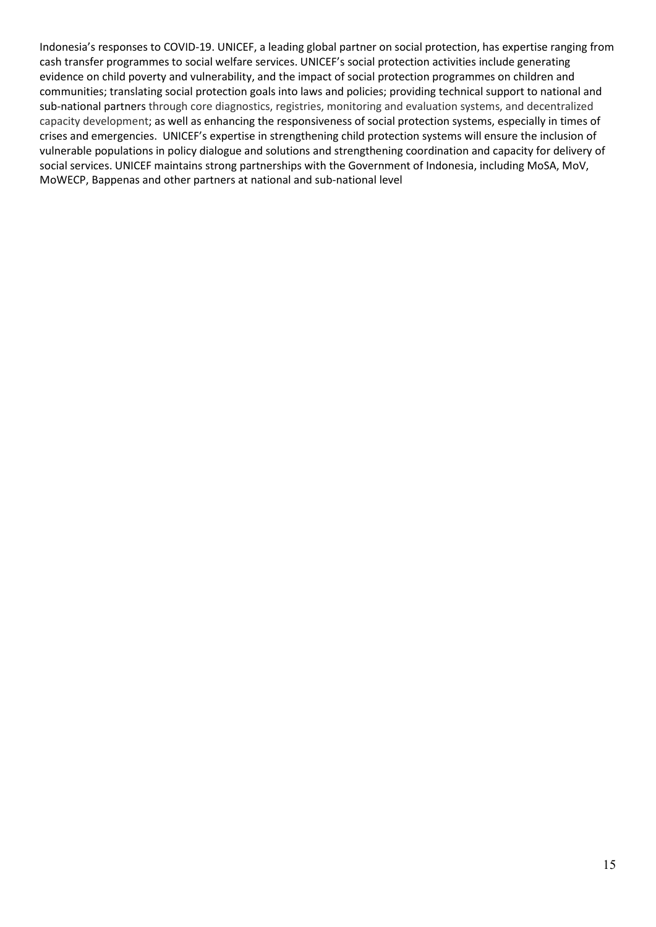Indonesia's responses to COVID-19. UNICEF, a leading global partner on social protection, has expertise ranging from cash transfer programmes to social welfare services. UNICEF's social protection activities include generating evidence on child poverty and vulnerability, and the impact of social protection programmes on children and communities; translating social protection goals into laws and policies; providing technical support to national and sub-national partners through core diagnostics, registries, monitoring and evaluation systems, and decentralized capacity development; as well as enhancing the responsiveness of social protection systems, especially in times of crises and emergencies. UNICEF's expertise in strengthening child protection systems will ensure the inclusion of vulnerable populations in policy dialogue and solutions and strengthening coordination and capacity for delivery of social services. UNICEF maintains strong partnerships with the Government of Indonesia, including MoSA, MoV, MoWECP, Bappenas and other partners at national and sub-national level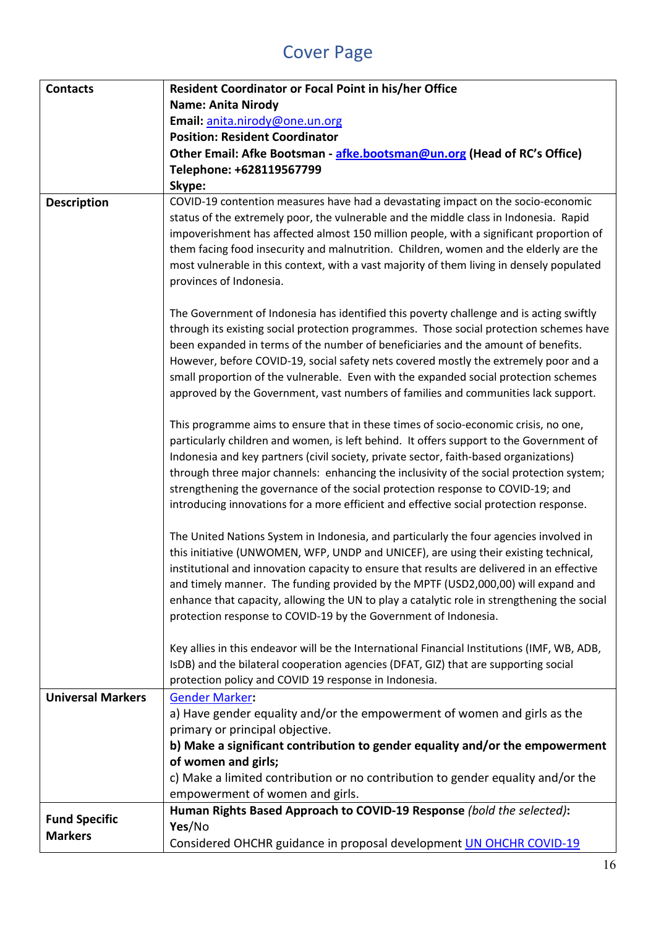# Cover Page

| <b>Contacts</b>          | Resident Coordinator or Focal Point in his/her Office                                       |
|--------------------------|---------------------------------------------------------------------------------------------|
|                          | <b>Name: Anita Nirody</b>                                                                   |
|                          | Email: anita.nirody@one.un.org                                                              |
|                          | <b>Position: Resident Coordinator</b>                                                       |
|                          | Other Email: Afke Bootsman - afke.bootsman@un.org (Head of RC's Office)                     |
|                          | Telephone: +628119567799                                                                    |
|                          | Skype:                                                                                      |
| <b>Description</b>       | COVID-19 contention measures have had a devastating impact on the socio-economic            |
|                          | status of the extremely poor, the vulnerable and the middle class in Indonesia. Rapid       |
|                          | impoverishment has affected almost 150 million people, with a significant proportion of     |
|                          | them facing food insecurity and malnutrition. Children, women and the elderly are the       |
|                          | most vulnerable in this context, with a vast majority of them living in densely populated   |
|                          | provinces of Indonesia.                                                                     |
|                          |                                                                                             |
|                          | The Government of Indonesia has identified this poverty challenge and is acting swiftly     |
|                          | through its existing social protection programmes. Those social protection schemes have     |
|                          | been expanded in terms of the number of beneficiaries and the amount of benefits.           |
|                          | However, before COVID-19, social safety nets covered mostly the extremely poor and a        |
|                          | small proportion of the vulnerable. Even with the expanded social protection schemes        |
|                          | approved by the Government, vast numbers of families and communities lack support.          |
|                          | This programme aims to ensure that in these times of socio-economic crisis, no one,         |
|                          | particularly children and women, is left behind. It offers support to the Government of     |
|                          | Indonesia and key partners (civil society, private sector, faith-based organizations)       |
|                          | through three major channels: enhancing the inclusivity of the social protection system;    |
|                          | strengthening the governance of the social protection response to COVID-19; and             |
|                          | introducing innovations for a more efficient and effective social protection response.      |
|                          |                                                                                             |
|                          | The United Nations System in Indonesia, and particularly the four agencies involved in      |
|                          | this initiative (UNWOMEN, WFP, UNDP and UNICEF), are using their existing technical,        |
|                          | institutional and innovation capacity to ensure that results are delivered in an effective  |
|                          | and timely manner. The funding provided by the MPTF (USD2,000,00) will expand and           |
|                          | enhance that capacity, allowing the UN to play a catalytic role in strengthening the social |
|                          | protection response to COVID-19 by the Government of Indonesia.                             |
|                          |                                                                                             |
|                          | Key allies in this endeavor will be the International Financial Institutions (IMF, WB, ADB, |
|                          | IsDB) and the bilateral cooperation agencies (DFAT, GIZ) that are supporting social         |
|                          | protection policy and COVID 19 response in Indonesia.                                       |
| <b>Universal Markers</b> | <b>Gender Marker:</b>                                                                       |
|                          | a) Have gender equality and/or the empowerment of women and girls as the                    |
|                          | primary or principal objective.                                                             |
|                          | b) Make a significant contribution to gender equality and/or the empowerment                |
|                          | of women and girls;                                                                         |
|                          | c) Make a limited contribution or no contribution to gender equality and/or the             |
|                          | empowerment of women and girls.                                                             |
| <b>Fund Specific</b>     | Human Rights Based Approach to COVID-19 Response (bold the selected):                       |
| <b>Markers</b>           | Yes/No                                                                                      |
|                          | Considered OHCHR guidance in proposal development <b>UN OHCHR COVID-19</b>                  |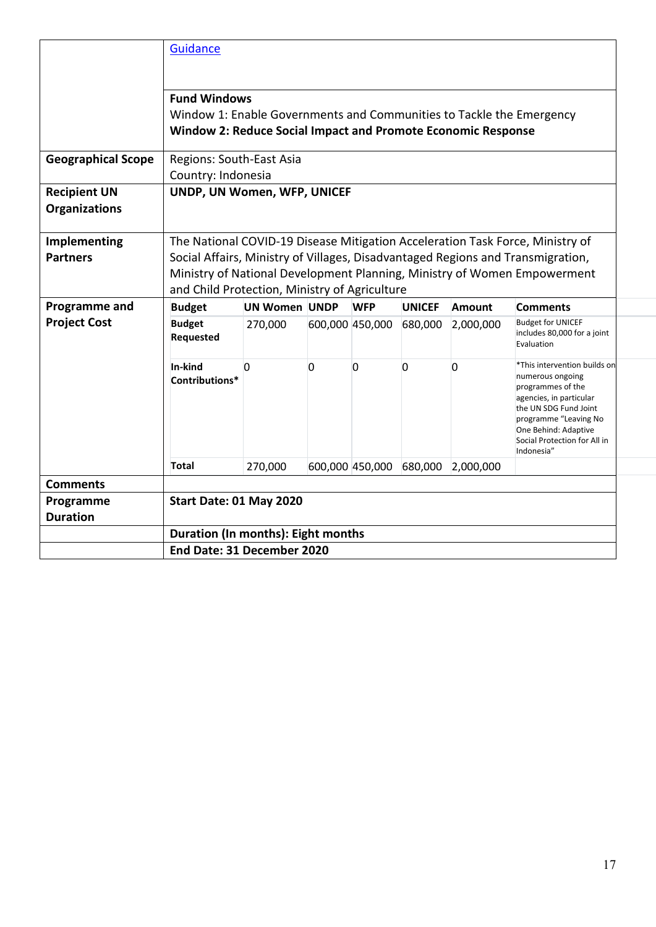|                                             | Guidance                                                                                                                                                           |                                                                                                                                                                                                                                                                                               |   |                 |                |               |                                                                                                                                                                                                                          |  |  |
|---------------------------------------------|--------------------------------------------------------------------------------------------------------------------------------------------------------------------|-----------------------------------------------------------------------------------------------------------------------------------------------------------------------------------------------------------------------------------------------------------------------------------------------|---|-----------------|----------------|---------------|--------------------------------------------------------------------------------------------------------------------------------------------------------------------------------------------------------------------------|--|--|
|                                             | <b>Fund Windows</b><br>Window 1: Enable Governments and Communities to Tackle the Emergency<br><b>Window 2: Reduce Social Impact and Promote Economic Response</b> |                                                                                                                                                                                                                                                                                               |   |                 |                |               |                                                                                                                                                                                                                          |  |  |
| <b>Geographical Scope</b>                   | Regions: South-East Asia<br>Country: Indonesia                                                                                                                     |                                                                                                                                                                                                                                                                                               |   |                 |                |               |                                                                                                                                                                                                                          |  |  |
| <b>Recipient UN</b><br><b>Organizations</b> |                                                                                                                                                                    | UNDP, UN Women, WFP, UNICEF                                                                                                                                                                                                                                                                   |   |                 |                |               |                                                                                                                                                                                                                          |  |  |
| Implementing<br><b>Partners</b>             |                                                                                                                                                                    | The National COVID-19 Disease Mitigation Acceleration Task Force, Ministry of<br>Social Affairs, Ministry of Villages, Disadvantaged Regions and Transmigration,<br>Ministry of National Development Planning, Ministry of Women Empowerment<br>and Child Protection, Ministry of Agriculture |   |                 |                |               |                                                                                                                                                                                                                          |  |  |
| Programme and                               | <b>Budget</b>                                                                                                                                                      | <b>UN Women UNDP</b>                                                                                                                                                                                                                                                                          |   | <b>WFP</b>      | <b>UNICEF</b>  | <b>Amount</b> | <b>Comments</b>                                                                                                                                                                                                          |  |  |
| <b>Project Cost</b>                         | <b>Budget</b><br><b>Requested</b>                                                                                                                                  | 270,000                                                                                                                                                                                                                                                                                       |   | 600,000 450,000 | 680,000        | 2,000,000     | <b>Budget for UNICEF</b><br>includes 80,000 for a joint<br>Evaluation                                                                                                                                                    |  |  |
|                                             | In-kind<br>Contributions*                                                                                                                                          | 0                                                                                                                                                                                                                                                                                             | 0 | 0               | $\overline{0}$ | 0             | *This intervention builds on<br>numerous ongoing<br>programmes of the<br>agencies, in particular<br>the UN SDG Fund Joint<br>programme "Leaving No<br>One Behind: Adaptive<br>Social Protection for All in<br>Indonesia" |  |  |
|                                             | <b>Total</b>                                                                                                                                                       | 270,000                                                                                                                                                                                                                                                                                       |   | 600,000 450,000 | 680,000        | 2,000,000     |                                                                                                                                                                                                                          |  |  |
| <b>Comments</b>                             |                                                                                                                                                                    |                                                                                                                                                                                                                                                                                               |   |                 |                |               |                                                                                                                                                                                                                          |  |  |
| Programme<br><b>Duration</b>                | Start Date: 01 May 2020                                                                                                                                            |                                                                                                                                                                                                                                                                                               |   |                 |                |               |                                                                                                                                                                                                                          |  |  |
|                                             | Duration (In months): Eight months                                                                                                                                 |                                                                                                                                                                                                                                                                                               |   |                 |                |               |                                                                                                                                                                                                                          |  |  |
|                                             | End Date: 31 December 2020                                                                                                                                         |                                                                                                                                                                                                                                                                                               |   |                 |                |               |                                                                                                                                                                                                                          |  |  |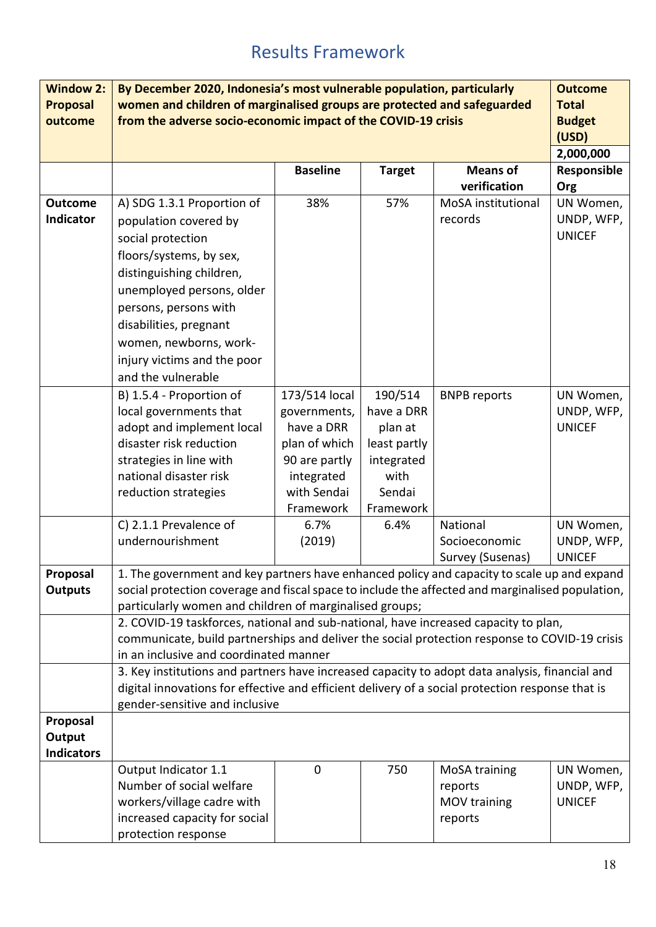# Results Framework

| <b>Window 2:</b>  | By December 2020, Indonesia's most vulnerable population, particularly                           |                 |               |                     | <b>Outcome</b> |
|-------------------|--------------------------------------------------------------------------------------------------|-----------------|---------------|---------------------|----------------|
| <b>Proposal</b>   | women and children of marginalised groups are protected and safeguarded                          |                 |               |                     | <b>Total</b>   |
| outcome           | from the adverse socio-economic impact of the COVID-19 crisis                                    |                 |               |                     | <b>Budget</b>  |
|                   |                                                                                                  |                 |               |                     | (USD)          |
|                   |                                                                                                  |                 |               |                     | 2,000,000      |
|                   |                                                                                                  | <b>Baseline</b> | <b>Target</b> | <b>Means of</b>     | Responsible    |
|                   |                                                                                                  |                 |               | verification        | Org            |
| <b>Outcome</b>    | A) SDG 1.3.1 Proportion of                                                                       | 38%             | 57%           | MoSA institutional  | UN Women,      |
| Indicator         | population covered by                                                                            |                 |               | records             | UNDP, WFP,     |
|                   | social protection                                                                                |                 |               |                     | <b>UNICEF</b>  |
|                   | floors/systems, by sex,                                                                          |                 |               |                     |                |
|                   | distinguishing children,                                                                         |                 |               |                     |                |
|                   | unemployed persons, older                                                                        |                 |               |                     |                |
|                   | persons, persons with                                                                            |                 |               |                     |                |
|                   | disabilities, pregnant                                                                           |                 |               |                     |                |
|                   | women, newborns, work-                                                                           |                 |               |                     |                |
|                   | injury victims and the poor                                                                      |                 |               |                     |                |
|                   | and the vulnerable                                                                               |                 |               |                     |                |
|                   |                                                                                                  | 173/514 local   | 190/514       |                     | UN Women,      |
|                   | B) 1.5.4 - Proportion of<br>local governments that                                               | governments,    | have a DRR    | <b>BNPB</b> reports | UNDP, WFP,     |
|                   | adopt and implement local                                                                        | have a DRR      | plan at       |                     | <b>UNICEF</b>  |
|                   | disaster risk reduction                                                                          | plan of which   | least partly  |                     |                |
|                   | strategies in line with                                                                          | 90 are partly   | integrated    |                     |                |
|                   | national disaster risk                                                                           | integrated      | with          |                     |                |
|                   | reduction strategies                                                                             | with Sendai     | Sendai        |                     |                |
|                   |                                                                                                  | Framework       | Framework     |                     |                |
|                   | C) 2.1.1 Prevalence of                                                                           | 6.7%            | 6.4%          | National            | UN Women,      |
|                   | undernourishment                                                                                 | (2019)          |               | Socioeconomic       | UNDP, WFP,     |
|                   |                                                                                                  |                 |               | Survey (Susenas)    | <b>UNICEF</b>  |
| Proposal          | 1. The government and key partners have enhanced policy and capacity to scale up and expand      |                 |               |                     |                |
| <b>Outputs</b>    | social protection coverage and fiscal space to include the affected and marginalised population, |                 |               |                     |                |
|                   | particularly women and children of marginalised groups;                                          |                 |               |                     |                |
|                   | 2. COVID-19 taskforces, national and sub-national, have increased capacity to plan,              |                 |               |                     |                |
|                   | communicate, build partnerships and deliver the social protection response to COVID-19 crisis    |                 |               |                     |                |
|                   | in an inclusive and coordinated manner                                                           |                 |               |                     |                |
|                   | 3. Key institutions and partners have increased capacity to adopt data analysis, financial and   |                 |               |                     |                |
|                   | digital innovations for effective and efficient delivery of a social protection response that is |                 |               |                     |                |
|                   | gender-sensitive and inclusive                                                                   |                 |               |                     |                |
| Proposal          |                                                                                                  |                 |               |                     |                |
| Output            |                                                                                                  |                 |               |                     |                |
| <b>Indicators</b> |                                                                                                  |                 |               |                     |                |
|                   | Output Indicator 1.1                                                                             | 0               | 750           | MoSA training       | UN Women,      |
|                   | Number of social welfare                                                                         |                 |               | reports             | UNDP, WFP,     |
|                   | workers/village cadre with                                                                       |                 |               | MOV training        | <b>UNICEF</b>  |
|                   | increased capacity for social                                                                    |                 |               | reports             |                |
|                   | protection response                                                                              |                 |               |                     |                |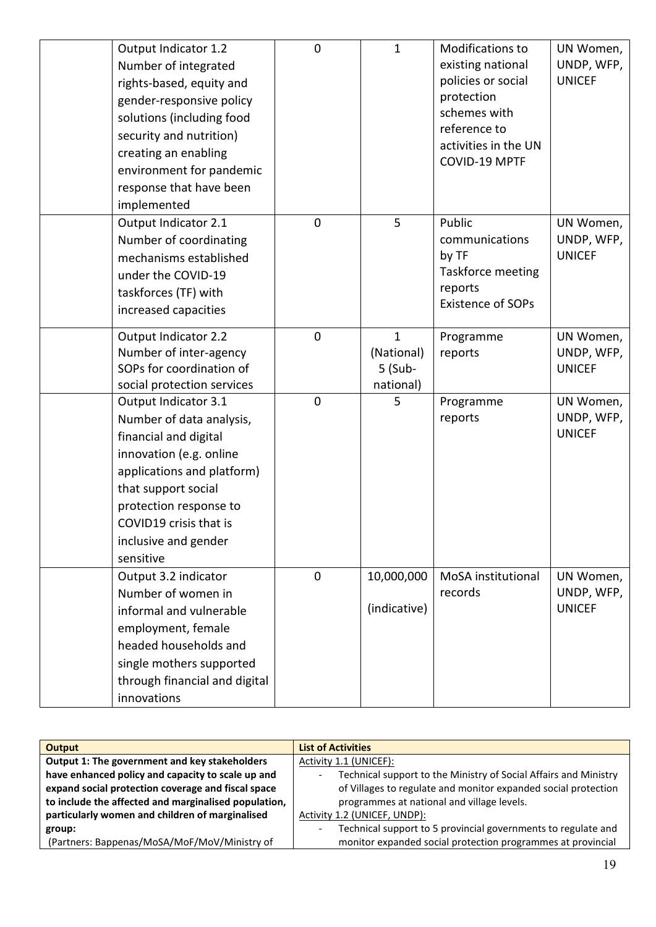| Output Indicator 1.2<br>Number of integrated<br>rights-based, equity and<br>gender-responsive policy<br>solutions (including food<br>security and nutrition)<br>creating an enabling<br>environment for pandemic<br>response that have been<br>implemented | $\mathbf 0$ | $\mathbf{1}$                                       | Modifications to<br>existing national<br>policies or social<br>protection<br>schemes with<br>reference to<br>activities in the UN<br>COVID-19 MPTF | UN Women,<br>UNDP, WFP,<br><b>UNICEF</b> |
|------------------------------------------------------------------------------------------------------------------------------------------------------------------------------------------------------------------------------------------------------------|-------------|----------------------------------------------------|----------------------------------------------------------------------------------------------------------------------------------------------------|------------------------------------------|
| Output Indicator 2.1<br>Number of coordinating<br>mechanisms established<br>under the COVID-19<br>taskforces (TF) with<br>increased capacities                                                                                                             | $\mathbf 0$ | 5                                                  | Public<br>communications<br>by TF<br>Taskforce meeting<br>reports<br><b>Existence of SOPs</b>                                                      | UN Women,<br>UNDP, WFP,<br><b>UNICEF</b> |
| Output Indicator 2.2<br>Number of inter-agency<br>SOPs for coordination of<br>social protection services                                                                                                                                                   | $\mathbf 0$ | $\mathbf{1}$<br>(National)<br>5 (Sub-<br>national) | Programme<br>reports                                                                                                                               | UN Women,<br>UNDP, WFP,<br><b>UNICEF</b> |
| Output Indicator 3.1<br>Number of data analysis,<br>financial and digital<br>innovation (e.g. online<br>applications and platform)<br>that support social<br>protection response to<br>COVID19 crisis that is<br>inclusive and gender<br>sensitive         | $\mathbf 0$ | 5                                                  | Programme<br>reports                                                                                                                               | UN Women,<br>UNDP, WFP,<br><b>UNICEF</b> |
| Output 3.2 indicator<br>Number of women in<br>informal and vulnerable<br>employment, female<br>headed households and<br>single mothers supported<br>through financial and digital<br>innovations                                                           | $\mathbf 0$ | 10,000,000<br>(indicative)                         | MoSA institutional<br>records                                                                                                                      | UN Women,<br>UNDP, WFP,<br><b>UNICEF</b> |

| <b>Output</b>                                        | <b>List of Activities</b>                                                                        |  |  |
|------------------------------------------------------|--------------------------------------------------------------------------------------------------|--|--|
| Output 1: The government and key stakeholders        | Activity 1.1 (UNICEF):                                                                           |  |  |
| have enhanced policy and capacity to scale up and    | Technical support to the Ministry of Social Affairs and Ministry<br>$\qquad \qquad \blacksquare$ |  |  |
| expand social protection coverage and fiscal space   | of Villages to regulate and monitor expanded social protection                                   |  |  |
| to include the affected and marginalised population, | programmes at national and village levels.                                                       |  |  |
| particularly women and children of marginalised      | Activity 1.2 (UNICEF, UNDP):                                                                     |  |  |
| group:                                               | Technical support to 5 provincial governments to regulate and<br>$\overline{\phantom{0}}$        |  |  |
| (Partners: Bappenas/MoSA/MoF/MoV/Ministry of         | monitor expanded social protection programmes at provincial                                      |  |  |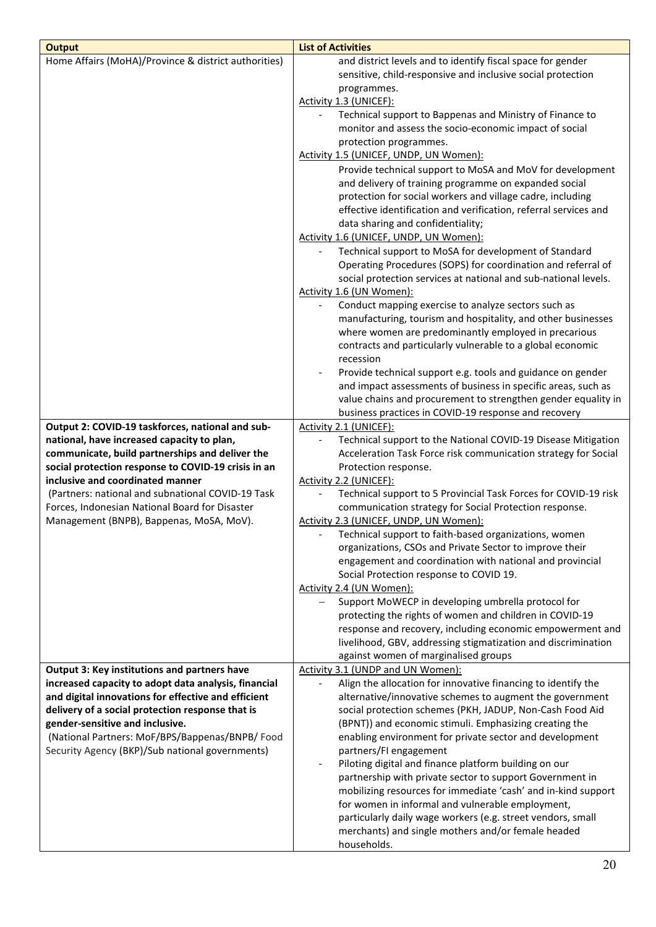| <b>Output</b>                                        | <b>List of Activities</b>                                                                                            |
|------------------------------------------------------|----------------------------------------------------------------------------------------------------------------------|
| Home Affairs (MoHA)/Province & district authorities) | and district levels and to identify fiscal space for gender                                                          |
|                                                      | sensitive, child-responsive and inclusive social protection                                                          |
|                                                      | programmes.                                                                                                          |
|                                                      | Activity 1.3 (UNICEF):                                                                                               |
|                                                      | Technical support to Bappenas and Ministry of Finance to                                                             |
|                                                      | monitor and assess the socio-economic impact of social                                                               |
|                                                      | protection programmes.                                                                                               |
|                                                      | Activity 1.5 (UNICEF, UNDP, UN Women):                                                                               |
|                                                      | Provide technical support to MoSA and MoV for development                                                            |
|                                                      | and delivery of training programme on expanded social                                                                |
|                                                      | protection for social workers and village cadre, including                                                           |
|                                                      | effective identification and verification, referral services and                                                     |
|                                                      | data sharing and confidentiality;                                                                                    |
|                                                      | Activity 1.6 (UNICEF, UNDP, UN Women):                                                                               |
|                                                      | Technical support to MoSA for development of Standard                                                                |
|                                                      | Operating Procedures (SOPS) for coordination and referral of                                                         |
|                                                      | social protection services at national and sub-national levels.                                                      |
|                                                      | Activity 1.6 (UN Women):                                                                                             |
|                                                      | Conduct mapping exercise to analyze sectors such as                                                                  |
|                                                      | manufacturing, tourism and hospitality, and other businesses                                                         |
|                                                      | where women are predominantly employed in precarious                                                                 |
|                                                      | contracts and particularly vulnerable to a global economic<br>recession                                              |
|                                                      | Provide technical support e.g. tools and guidance on gender                                                          |
|                                                      | and impact assessments of business in specific areas, such as                                                        |
|                                                      | value chains and procurement to strengthen gender equality in                                                        |
|                                                      | business practices in COVID-19 response and recovery                                                                 |
| Output 2: COVID-19 taskforces, national and sub-     | Activity 2.1 (UNICEF):                                                                                               |
| national, have increased capacity to plan,           | Technical support to the National COVID-19 Disease Mitigation                                                        |
| communicate, build partnerships and deliver the      | Acceleration Task Force risk communication strategy for Social                                                       |
| social protection response to COVID-19 crisis in an  | Protection response.                                                                                                 |
| inclusive and coordinated manner                     | Activity 2.2 (UNICEF):                                                                                               |
| (Partners: national and subnational COVID-19 Task    | Technical support to 5 Provincial Task Forces for COVID-19 risk                                                      |
| Forces, Indonesian National Board for Disaster       | communication strategy for Social Protection response.                                                               |
| Management (BNPB), Bappenas, MoSA, MoV).             | Activity 2.3 (UNICEF, UNDP, UN Women):                                                                               |
|                                                      | Technical support to faith-based organizations, women                                                                |
|                                                      | organizations, CSOs and Private Sector to improve their                                                              |
|                                                      | engagement and coordination with national and provincial                                                             |
|                                                      | Social Protection response to COVID 19.                                                                              |
|                                                      | Activity 2.4 (UN Women):                                                                                             |
|                                                      | Support MoWECP in developing umbrella protocol for                                                                   |
|                                                      | protecting the rights of women and children in COVID-19<br>response and recovery, including economic empowerment and |
|                                                      | livelihood, GBV, addressing stigmatization and discrimination                                                        |
|                                                      | against women of marginalised groups                                                                                 |
| Output 3: Key institutions and partners have         | Activity 3.1 (UNDP and UN Women):                                                                                    |
| increased capacity to adopt data analysis, financial | Align the allocation for innovative financing to identify the                                                        |
| and digital innovations for effective and efficient  | alternative/innovative schemes to augment the government                                                             |
| delivery of a social protection response that is     | social protection schemes (PKH, JADUP, Non-Cash Food Aid                                                             |
| gender-sensitive and inclusive.                      | (BPNT)) and economic stimuli. Emphasizing creating the                                                               |
| (National Partners: MoF/BPS/Bappenas/BNPB/ Food      | enabling environment for private sector and development                                                              |
| Security Agency (BKP)/Sub national governments)      | partners/FI engagement                                                                                               |
|                                                      | Piloting digital and finance platform building on our                                                                |
|                                                      | partnership with private sector to support Government in                                                             |
|                                                      | mobilizing resources for immediate 'cash' and in-kind support                                                        |
|                                                      | for women in informal and vulnerable employment,                                                                     |
|                                                      | particularly daily wage workers (e.g. street vendors, small                                                          |
|                                                      | merchants) and single mothers and/or female headed                                                                   |
|                                                      | households.                                                                                                          |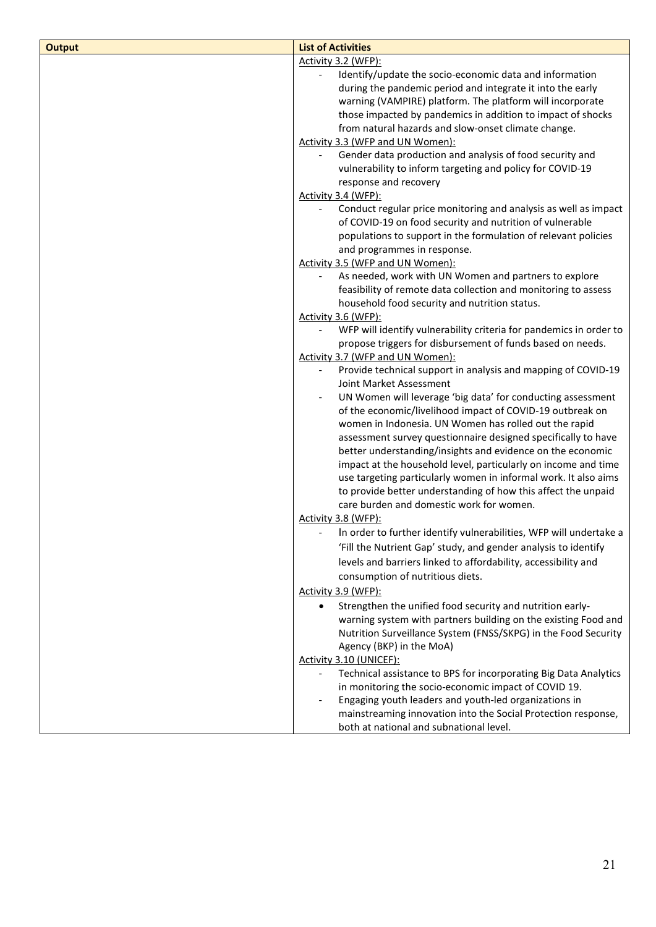| <b>Output</b> | <b>List of Activities</b>                                                                                                   |
|---------------|-----------------------------------------------------------------------------------------------------------------------------|
|               | Activity 3.2 (WFP):                                                                                                         |
|               | Identify/update the socio-economic data and information                                                                     |
|               | during the pandemic period and integrate it into the early                                                                  |
|               | warning (VAMPIRE) platform. The platform will incorporate                                                                   |
|               | those impacted by pandemics in addition to impact of shocks                                                                 |
|               | from natural hazards and slow-onset climate change.                                                                         |
|               | Activity 3.3 (WFP and UN Women):                                                                                            |
|               | Gender data production and analysis of food security and                                                                    |
|               | vulnerability to inform targeting and policy for COVID-19                                                                   |
|               | response and recovery                                                                                                       |
|               | Activity 3.4 (WFP):                                                                                                         |
|               | Conduct regular price monitoring and analysis as well as impact<br>of COVID-19 on food security and nutrition of vulnerable |
|               | populations to support in the formulation of relevant policies                                                              |
|               | and programmes in response.                                                                                                 |
|               | Activity 3.5 (WFP and UN Women):                                                                                            |
|               | As needed, work with UN Women and partners to explore                                                                       |
|               | feasibility of remote data collection and monitoring to assess                                                              |
|               | household food security and nutrition status.                                                                               |
|               | Activity 3.6 (WFP):                                                                                                         |
|               | WFP will identify vulnerability criteria for pandemics in order to                                                          |
|               | propose triggers for disbursement of funds based on needs.                                                                  |
|               | Activity 3.7 (WFP and UN Women):                                                                                            |
|               | Provide technical support in analysis and mapping of COVID-19<br>$\qquad \qquad \blacksquare$                               |
|               | Joint Market Assessment                                                                                                     |
|               | UN Women will leverage 'big data' for conducting assessment<br>$\qquad \qquad \blacksquare$                                 |
|               | of the economic/livelihood impact of COVID-19 outbreak on                                                                   |
|               | women in Indonesia. UN Women has rolled out the rapid                                                                       |
|               | assessment survey questionnaire designed specifically to have<br>better understanding/insights and evidence on the economic |
|               | impact at the household level, particularly on income and time                                                              |
|               | use targeting particularly women in informal work. It also aims                                                             |
|               | to provide better understanding of how this affect the unpaid                                                               |
|               | care burden and domestic work for women.                                                                                    |
|               | Activity 3.8 (WFP):                                                                                                         |
|               | In order to further identify vulnerabilities, WFP will undertake a                                                          |
|               | 'Fill the Nutrient Gap' study, and gender analysis to identify                                                              |
|               | levels and barriers linked to affordability, accessibility and                                                              |
|               | consumption of nutritious diets.                                                                                            |
|               | Activity 3.9 (WFP):                                                                                                         |
|               | Strengthen the unified food security and nutrition early-                                                                   |
|               | warning system with partners building on the existing Food and                                                              |
|               | Nutrition Surveillance System (FNSS/SKPG) in the Food Security                                                              |
|               | Agency (BKP) in the MoA)                                                                                                    |
|               | Activity 3.10 (UNICEF):                                                                                                     |
|               | Technical assistance to BPS for incorporating Big Data Analytics                                                            |
|               | in monitoring the socio-economic impact of COVID 19.                                                                        |
|               | Engaging youth leaders and youth-led organizations in<br>$\overline{\phantom{a}}$                                           |
|               | mainstreaming innovation into the Social Protection response,                                                               |
|               | both at national and subnational level.                                                                                     |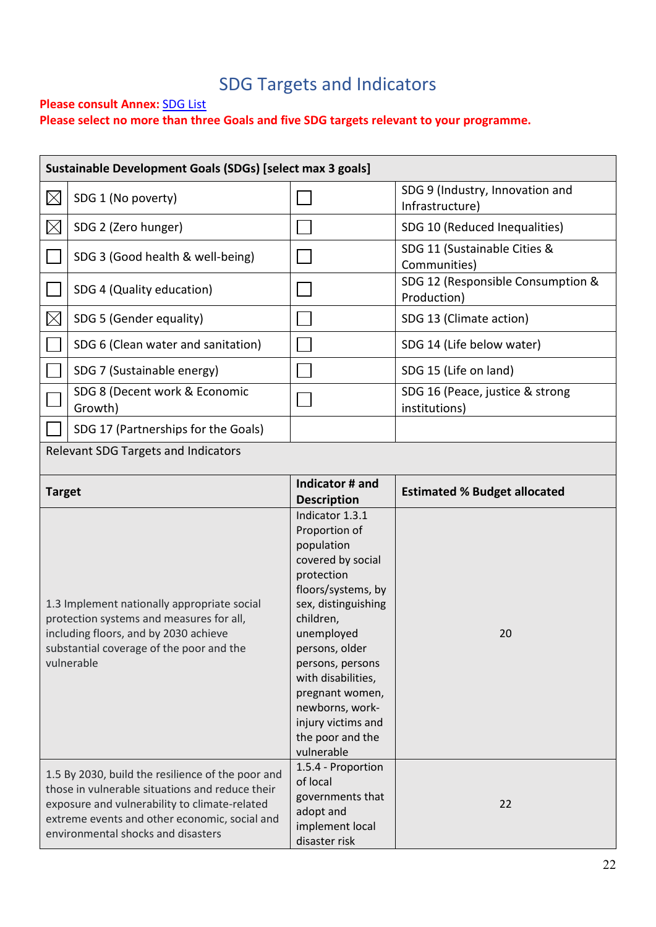# SDG Targets and Indicators

### **Please consult Annex: [SDG List](#page-26-0)**

**Please select no more than three Goals and five SDG targets relevant to your programme.** 

|          | Sustainable Development Goals (SDGs) [select max 3 goals] |                                                                                                                                                                                                                                  |                                                    |  |  |  |  |  |
|----------|-----------------------------------------------------------|----------------------------------------------------------------------------------------------------------------------------------------------------------------------------------------------------------------------------------|----------------------------------------------------|--|--|--|--|--|
|          | SDG 1 (No poverty)                                        |                                                                                                                                                                                                                                  | SDG 9 (Industry, Innovation and<br>Infrastructure) |  |  |  |  |  |
| $\times$ | SDG 2 (Zero hunger)                                       |                                                                                                                                                                                                                                  | SDG 10 (Reduced Inequalities)                      |  |  |  |  |  |
|          | SDG 3 (Good health & well-being)                          |                                                                                                                                                                                                                                  | SDG 11 (Sustainable Cities &<br>Communities)       |  |  |  |  |  |
|          | SDG 4 (Quality education)                                 |                                                                                                                                                                                                                                  | SDG 12 (Responsible Consumption &<br>Production)   |  |  |  |  |  |
| $\times$ | SDG 5 (Gender equality)                                   |                                                                                                                                                                                                                                  | SDG 13 (Climate action)                            |  |  |  |  |  |
|          | SDG 6 (Clean water and sanitation)                        |                                                                                                                                                                                                                                  | SDG 14 (Life below water)                          |  |  |  |  |  |
|          | SDG 7 (Sustainable energy)                                |                                                                                                                                                                                                                                  | SDG 15 (Life on land)                              |  |  |  |  |  |
|          | SDG 8 (Decent work & Economic<br>Growth)                  |                                                                                                                                                                                                                                  | SDG 16 (Peace, justice & strong<br>institutions)   |  |  |  |  |  |
|          | SDG 17 (Partnerships for the Goals)                       |                                                                                                                                                                                                                                  |                                                    |  |  |  |  |  |
|          | Relevant SDG Targets and Indicators                       |                                                                                                                                                                                                                                  |                                                    |  |  |  |  |  |
|          |                                                           | $\mathbf{r}$ , and the set of the set of the set of the set of the set of the set of the set of the set of the set of the set of the set of the set of the set of the set of the set of the set of the set of the set of the set |                                                    |  |  |  |  |  |

| <b>Target</b>                                                                                                                                                                                                                                | Indicator # and                                                                                                                                                                                                                                                                                                     | <b>Estimated % Budget allocated</b> |  |
|----------------------------------------------------------------------------------------------------------------------------------------------------------------------------------------------------------------------------------------------|---------------------------------------------------------------------------------------------------------------------------------------------------------------------------------------------------------------------------------------------------------------------------------------------------------------------|-------------------------------------|--|
|                                                                                                                                                                                                                                              | <b>Description</b>                                                                                                                                                                                                                                                                                                  |                                     |  |
| 1.3 Implement nationally appropriate social<br>protection systems and measures for all,<br>including floors, and by 2030 achieve<br>substantial coverage of the poor and the<br>vulnerable                                                   | Indicator 1.3.1<br>Proportion of<br>population<br>covered by social<br>protection<br>floors/systems, by<br>sex, distinguishing<br>children,<br>unemployed<br>persons, older<br>persons, persons<br>with disabilities,<br>pregnant women,<br>newborns, work-<br>injury victims and<br>the poor and the<br>vulnerable | 20                                  |  |
| 1.5 By 2030, build the resilience of the poor and<br>those in vulnerable situations and reduce their<br>exposure and vulnerability to climate-related<br>extreme events and other economic, social and<br>environmental shocks and disasters | 1.5.4 - Proportion<br>of local<br>governments that<br>adopt and<br>implement local<br>disaster risk                                                                                                                                                                                                                 | 22                                  |  |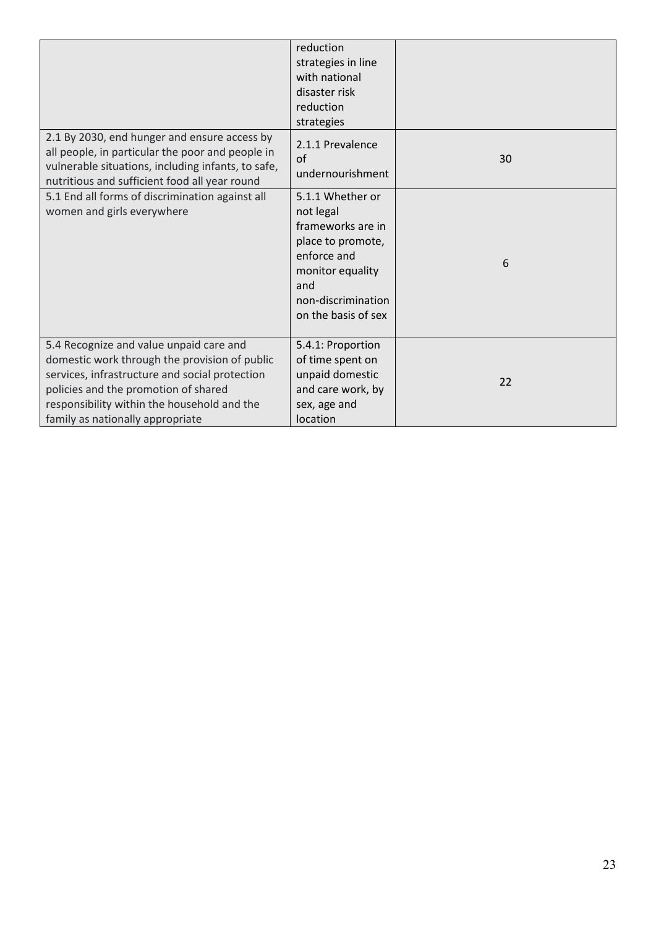|                                                                                                                                                                                                                                                                       | reduction<br>strategies in line<br>with national<br>disaster risk<br>reduction<br>strategies                                                                   |    |
|-----------------------------------------------------------------------------------------------------------------------------------------------------------------------------------------------------------------------------------------------------------------------|----------------------------------------------------------------------------------------------------------------------------------------------------------------|----|
| 2.1 By 2030, end hunger and ensure access by<br>all people, in particular the poor and people in<br>vulnerable situations, including infants, to safe,<br>nutritious and sufficient food all year round                                                               | 2.1.1 Prevalence<br>$\alpha$ f<br>undernourishment                                                                                                             | 30 |
| 5.1 End all forms of discrimination against all<br>women and girls everywhere                                                                                                                                                                                         | 5.1.1 Whether or<br>not legal<br>frameworks are in<br>place to promote,<br>enforce and<br>monitor equality<br>and<br>non-discrimination<br>on the basis of sex | 6  |
| 5.4 Recognize and value unpaid care and<br>domestic work through the provision of public<br>services, infrastructure and social protection<br>policies and the promotion of shared<br>responsibility within the household and the<br>family as nationally appropriate | 5.4.1: Proportion<br>of time spent on<br>unpaid domestic<br>and care work, by<br>sex, age and<br>location                                                      | 22 |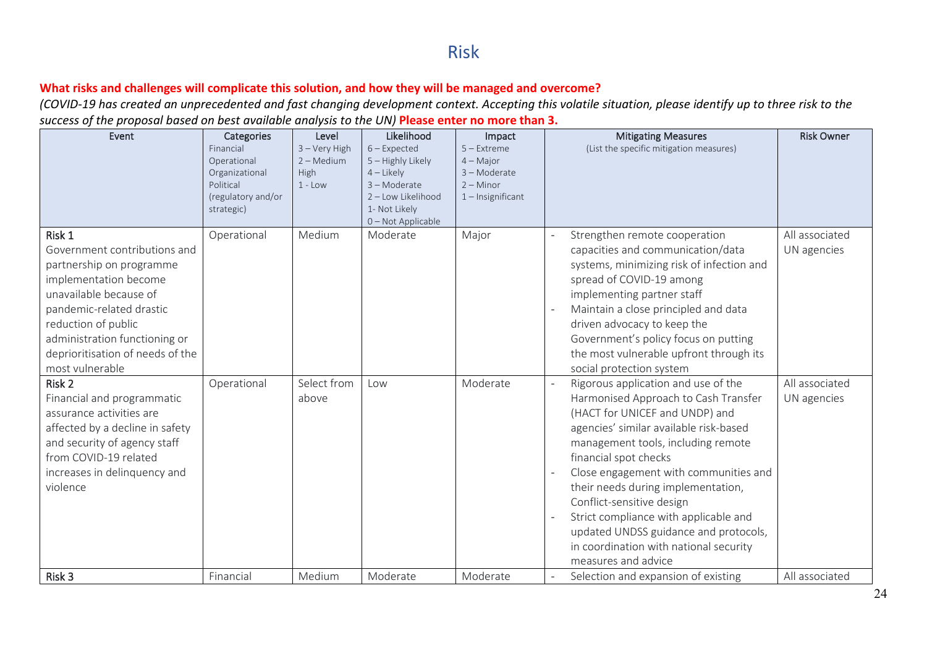## Risk

### **What risks and challenges will complicate this solution, and how they will be managed and overcome?**

*(COVID-19 has created an unprecedented and fast changing development context. Accepting this volatile situation, please identify up to three risk to the success of the proposal based on best available analysis to the UN)* **Please enter no more than 3.**

| Event                                                                                                                                                                                                                                                            | Categories<br>Financial<br>Operational<br>Organizational<br>Political<br>(regulatory and/or<br>strategic) | Level<br>$3 -$ Very High<br>$2 - Medium$<br>High<br>$1 - Low$ | Likelihood<br>$6$ – Expected<br>5 - Highly Likely<br>$4$ – Likely<br>3 - Moderate<br>2-Low Likelihood<br>1- Not Likely<br>0-Not Applicable | Impact<br>$5 -$ Extreme<br>$4 -$ Major<br>$3 -$ Moderate<br>$2 -$ Minor<br>$1$ – Insignificant | <b>Mitigating Measures</b><br>(List the specific mitigation measures)                                                                                                                                                                                                                                                                                                                                                                                                                 | <b>Risk Owner</b>             |
|------------------------------------------------------------------------------------------------------------------------------------------------------------------------------------------------------------------------------------------------------------------|-----------------------------------------------------------------------------------------------------------|---------------------------------------------------------------|--------------------------------------------------------------------------------------------------------------------------------------------|------------------------------------------------------------------------------------------------|---------------------------------------------------------------------------------------------------------------------------------------------------------------------------------------------------------------------------------------------------------------------------------------------------------------------------------------------------------------------------------------------------------------------------------------------------------------------------------------|-------------------------------|
| Risk 1<br>Government contributions and<br>partnership on programme<br>implementation become<br>unavailable because of<br>pandemic-related drastic<br>reduction of public<br>administration functioning or<br>deprioritisation of needs of the<br>most vulnerable | Operational                                                                                               | Medium                                                        | Moderate                                                                                                                                   | Major                                                                                          | Strengthen remote cooperation<br>capacities and communication/data<br>systems, minimizing risk of infection and<br>spread of COVID-19 among<br>implementing partner staff<br>Maintain a close principled and data<br>driven advocacy to keep the<br>Government's policy focus on putting<br>the most vulnerable upfront through its<br>social protection system                                                                                                                       | All associated<br>UN agencies |
| Risk <sub>2</sub><br>Financial and programmatic<br>assurance activities are<br>affected by a decline in safety<br>and security of agency staff<br>from COVID-19 related<br>increases in delinquency and<br>violence                                              | Operational                                                                                               | Select from<br>above                                          | Low                                                                                                                                        | Moderate                                                                                       | Rigorous application and use of the<br>Harmonised Approach to Cash Transfer<br>(HACT for UNICEF and UNDP) and<br>agencies' similar available risk-based<br>management tools, including remote<br>financial spot checks<br>Close engagement with communities and<br>their needs during implementation,<br>Conflict-sensitive design<br>Strict compliance with applicable and<br>updated UNDSS guidance and protocols,<br>in coordination with national security<br>measures and advice | All associated<br>UN agencies |
| Risk 3                                                                                                                                                                                                                                                           | Financial                                                                                                 | Medium                                                        | Moderate                                                                                                                                   | Moderate                                                                                       | Selection and expansion of existing                                                                                                                                                                                                                                                                                                                                                                                                                                                   | All associated                |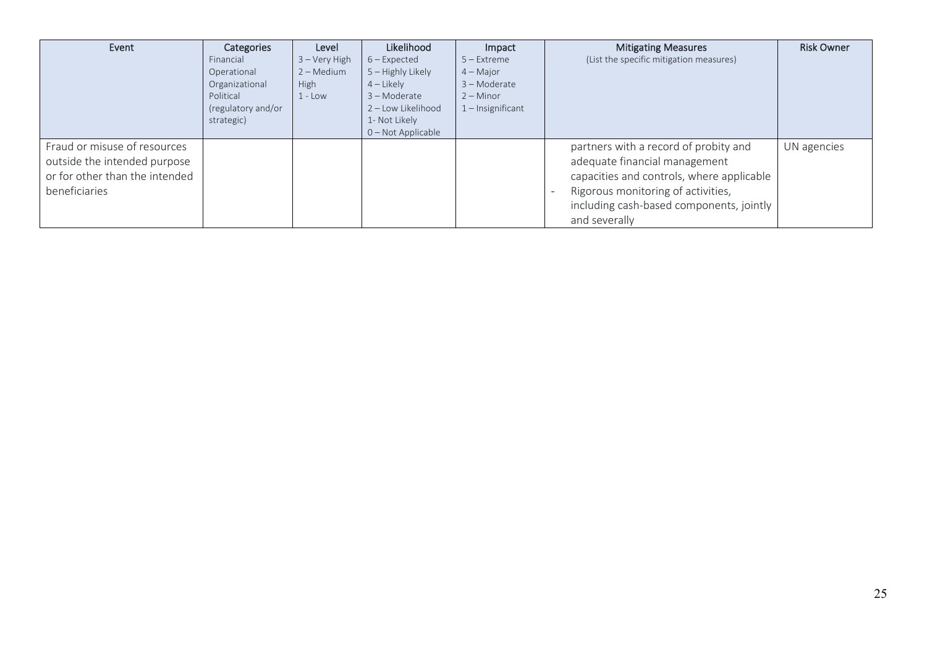| Event                          | Categories         | Level           | Likelihood         | Impact              | <b>Mitigating Measures</b>                | <b>Risk Owner</b> |
|--------------------------------|--------------------|-----------------|--------------------|---------------------|-------------------------------------------|-------------------|
|                                | Financial          | $3 -$ Very High | $6$ – Expected     | $5 -$ Extreme       | (List the specific mitigation measures)   |                   |
|                                | Operational        | $2 - Medium$    | 5 – Highly Likely  | $4 -$ Major         |                                           |                   |
|                                | Organizational     | <b>High</b>     | $4$ – Likely       | $3 -$ Moderate      |                                           |                   |
|                                | Political          | $1 - Low$       | 3 - Moderate       | $2 -$ Minor         |                                           |                   |
|                                | (regulatory and/or |                 | 2 - Low Likelihood | $1$ – Insignificant |                                           |                   |
|                                | strategic)         |                 | 1- Not Likely      |                     |                                           |                   |
|                                |                    |                 | 0 - Not Applicable |                     |                                           |                   |
| Fraud or misuse of resources   |                    |                 |                    |                     | partners with a record of probity and     | UN agencies       |
| outside the intended purpose   |                    |                 |                    |                     | adequate financial management             |                   |
| or for other than the intended |                    |                 |                    |                     | capacities and controls, where applicable |                   |
| beneficiaries                  |                    |                 |                    |                     | Rigorous monitoring of activities,        |                   |
|                                |                    |                 |                    |                     | including cash-based components, jointly  |                   |
|                                |                    |                 |                    |                     | and severally                             |                   |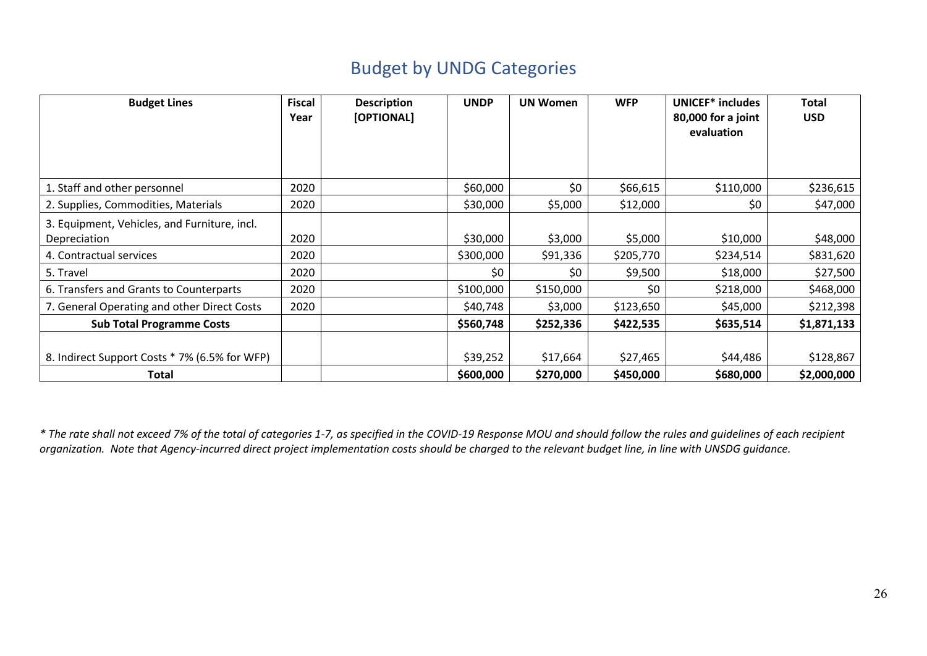## Budget by UNDG Categories

| <b>Budget Lines</b>                                           | <b>Fiscal</b><br>Year | <b>Description</b><br>[OPTIONAL] | <b>UNDP</b>           | <b>UN Women</b>       | <b>WFP</b>            | UNICEF <sup>*</sup> includes<br>80,000 for a joint<br>evaluation | Total<br><b>USD</b>      |
|---------------------------------------------------------------|-----------------------|----------------------------------|-----------------------|-----------------------|-----------------------|------------------------------------------------------------------|--------------------------|
| 1. Staff and other personnel                                  | 2020                  |                                  | \$60,000              | \$0                   | \$66,615              | \$110,000                                                        | \$236,615                |
| 2. Supplies, Commodities, Materials                           | 2020                  |                                  | \$30,000              | \$5,000               | \$12,000              | \$0                                                              | \$47,000                 |
| 3. Equipment, Vehicles, and Furniture, incl.<br>Depreciation  | 2020                  |                                  | \$30,000              | \$3,000               | \$5,000               | \$10,000                                                         | \$48,000                 |
| 4. Contractual services                                       | 2020                  |                                  | \$300,000             | \$91,336              | \$205,770             | \$234,514                                                        | \$831,620                |
| 5. Travel                                                     | 2020                  |                                  | \$0                   | \$0                   | \$9,500               | \$18,000                                                         | \$27,500                 |
| 6. Transfers and Grants to Counterparts                       | 2020                  |                                  | \$100,000             | \$150,000             | \$0                   | \$218,000                                                        | \$468,000                |
| 7. General Operating and other Direct Costs                   | 2020                  |                                  | \$40,748              | \$3,000               | \$123,650             | \$45,000                                                         | \$212,398                |
| <b>Sub Total Programme Costs</b>                              |                       |                                  | \$560,748             | \$252,336             | \$422,535             | \$635,514                                                        | \$1,871,133              |
| 8. Indirect Support Costs * 7% (6.5% for WFP)<br><b>Total</b> |                       |                                  | \$39,252<br>\$600,000 | \$17,664<br>\$270,000 | \$27,465<br>\$450,000 | \$44,486<br>\$680,000                                            | \$128,867<br>\$2,000,000 |

*\* The rate shall not exceed 7% of the total of categories 1-7, as specified in the COVID-19 Response MOU and should follow the rules and guidelines of each recipient organization. Note that Agency-incurred direct project implementation costs should be charged to the relevant budget line, in line with UNSDG guidance.*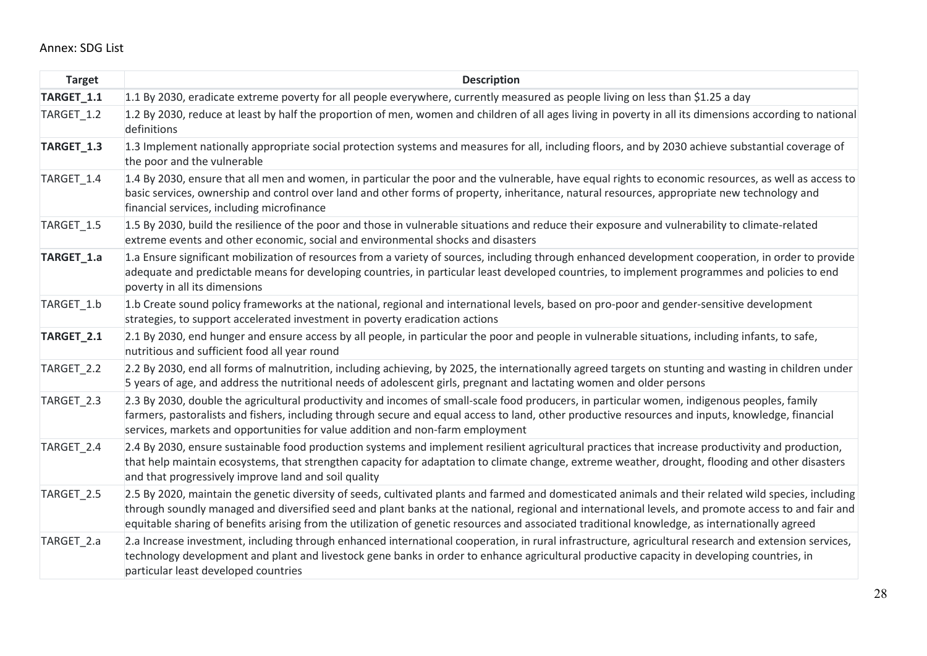### Annex: SDG List

<span id="page-26-0"></span>

| <b>Target</b> | <b>Description</b>                                                                                                                                                                                                                                                                                                                                                                                                                                              |
|---------------|-----------------------------------------------------------------------------------------------------------------------------------------------------------------------------------------------------------------------------------------------------------------------------------------------------------------------------------------------------------------------------------------------------------------------------------------------------------------|
| TARGET_1.1    | 1.1 By 2030, eradicate extreme poverty for all people everywhere, currently measured as people living on less than \$1.25 a day                                                                                                                                                                                                                                                                                                                                 |
| TARGET_1.2    | 1.2 By 2030, reduce at least by half the proportion of men, women and children of all ages living in poverty in all its dimensions according to national<br>definitions                                                                                                                                                                                                                                                                                         |
| TARGET_1.3    | 1.3 Implement nationally appropriate social protection systems and measures for all, including floors, and by 2030 achieve substantial coverage of<br>the poor and the vulnerable                                                                                                                                                                                                                                                                               |
| TARGET_1.4    | 1.4 By 2030, ensure that all men and women, in particular the poor and the vulnerable, have equal rights to economic resources, as well as access to<br>basic services, ownership and control over land and other forms of property, inheritance, natural resources, appropriate new technology and<br>financial services, including microfinance                                                                                                               |
| TARGET_1.5    | 1.5 By 2030, build the resilience of the poor and those in vulnerable situations and reduce their exposure and vulnerability to climate-related<br>extreme events and other economic, social and environmental shocks and disasters                                                                                                                                                                                                                             |
| TARGET_1.a    | 1.a Ensure significant mobilization of resources from a variety of sources, including through enhanced development cooperation, in order to provide<br>adequate and predictable means for developing countries, in particular least developed countries, to implement programmes and policies to end<br>poverty in all its dimensions                                                                                                                           |
| TARGET 1.b    | 1.b Create sound policy frameworks at the national, regional and international levels, based on pro-poor and gender-sensitive development<br>strategies, to support accelerated investment in poverty eradication actions                                                                                                                                                                                                                                       |
| TARGET_2.1    | 2.1 By 2030, end hunger and ensure access by all people, in particular the poor and people in vulnerable situations, including infants, to safe,<br>nutritious and sufficient food all year round                                                                                                                                                                                                                                                               |
| TARGET 2.2    | 2.2 By 2030, end all forms of malnutrition, including achieving, by 2025, the internationally agreed targets on stunting and wasting in children under<br>5 years of age, and address the nutritional needs of adolescent girls, pregnant and lactating women and older persons                                                                                                                                                                                 |
| TARGET_2.3    | 2.3 By 2030, double the agricultural productivity and incomes of small-scale food producers, in particular women, indigenous peoples, family<br>farmers, pastoralists and fishers, including through secure and equal access to land, other productive resources and inputs, knowledge, financial<br>services, markets and opportunities for value addition and non-farm employment                                                                             |
| TARGET 2.4    | 2.4 By 2030, ensure sustainable food production systems and implement resilient agricultural practices that increase productivity and production,<br>that help maintain ecosystems, that strengthen capacity for adaptation to climate change, extreme weather, drought, flooding and other disasters<br>and that progressively improve land and soil quality                                                                                                   |
| TARGET_2.5    | 2.5 By 2020, maintain the genetic diversity of seeds, cultivated plants and farmed and domesticated animals and their related wild species, including<br>through soundly managed and diversified seed and plant banks at the national, regional and international levels, and promote access to and fair and<br>equitable sharing of benefits arising from the utilization of genetic resources and associated traditional knowledge, as internationally agreed |
| TARGET 2.a    | 2.a Increase investment, including through enhanced international cooperation, in rural infrastructure, agricultural research and extension services,<br>technology development and plant and livestock gene banks in order to enhance agricultural productive capacity in developing countries, in<br>particular least developed countries                                                                                                                     |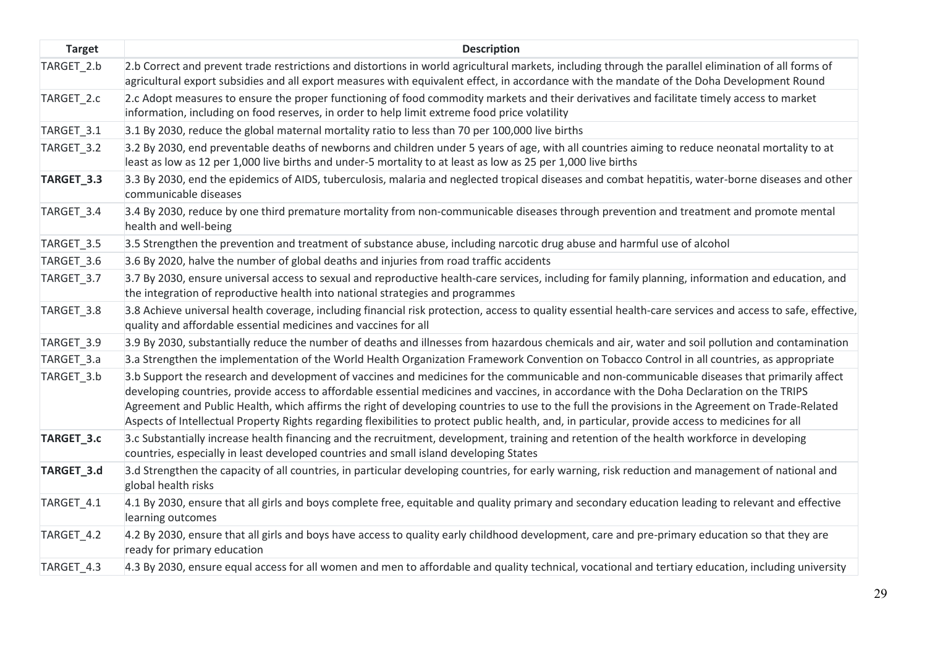| <b>Target</b> | <b>Description</b>                                                                                                                                                                                                                                                                                                                                                                                                                                                                                                                                                                                |
|---------------|---------------------------------------------------------------------------------------------------------------------------------------------------------------------------------------------------------------------------------------------------------------------------------------------------------------------------------------------------------------------------------------------------------------------------------------------------------------------------------------------------------------------------------------------------------------------------------------------------|
| TARGET 2.b    | 2.b Correct and prevent trade restrictions and distortions in world agricultural markets, including through the parallel elimination of all forms of<br>agricultural export subsidies and all export measures with equivalent effect, in accordance with the mandate of the Doha Development Round                                                                                                                                                                                                                                                                                                |
| TARGET_2.c    | 2.c Adopt measures to ensure the proper functioning of food commodity markets and their derivatives and facilitate timely access to market<br>information, including on food reserves, in order to help limit extreme food price volatility                                                                                                                                                                                                                                                                                                                                                       |
| TARGET_3.1    | 3.1 By 2030, reduce the global maternal mortality ratio to less than 70 per 100,000 live births                                                                                                                                                                                                                                                                                                                                                                                                                                                                                                   |
| TARGET_3.2    | 3.2 By 2030, end preventable deaths of newborns and children under 5 years of age, with all countries aiming to reduce neonatal mortality to at<br>least as low as 12 per 1,000 live births and under-5 mortality to at least as low as 25 per 1,000 live births                                                                                                                                                                                                                                                                                                                                  |
| TARGET_3.3    | 3.3 By 2030, end the epidemics of AIDS, tuberculosis, malaria and neglected tropical diseases and combat hepatitis, water-borne diseases and other<br>communicable diseases                                                                                                                                                                                                                                                                                                                                                                                                                       |
| TARGET_3.4    | 3.4 By 2030, reduce by one third premature mortality from non-communicable diseases through prevention and treatment and promote mental<br>health and well-being                                                                                                                                                                                                                                                                                                                                                                                                                                  |
| TARGET_3.5    | 3.5 Strengthen the prevention and treatment of substance abuse, including narcotic drug abuse and harmful use of alcohol                                                                                                                                                                                                                                                                                                                                                                                                                                                                          |
| TARGET_3.6    | 3.6 By 2020, halve the number of global deaths and injuries from road traffic accidents                                                                                                                                                                                                                                                                                                                                                                                                                                                                                                           |
| TARGET_3.7    | 3.7 By 2030, ensure universal access to sexual and reproductive health-care services, including for family planning, information and education, and<br>the integration of reproductive health into national strategies and programmes                                                                                                                                                                                                                                                                                                                                                             |
| TARGET_3.8    | 3.8 Achieve universal health coverage, including financial risk protection, access to quality essential health-care services and access to safe, effective,<br>quality and affordable essential medicines and vaccines for all                                                                                                                                                                                                                                                                                                                                                                    |
| TARGET_3.9    | 3.9 By 2030, substantially reduce the number of deaths and illnesses from hazardous chemicals and air, water and soil pollution and contamination                                                                                                                                                                                                                                                                                                                                                                                                                                                 |
| TARGET_3.a    | 3.a Strengthen the implementation of the World Health Organization Framework Convention on Tobacco Control in all countries, as appropriate                                                                                                                                                                                                                                                                                                                                                                                                                                                       |
| TARGET_3.b    | 3.b Support the research and development of vaccines and medicines for the communicable and non-communicable diseases that primarily affect<br>developing countries, provide access to affordable essential medicines and vaccines, in accordance with the Doha Declaration on the TRIPS<br>Agreement and Public Health, which affirms the right of developing countries to use to the full the provisions in the Agreement on Trade-Related<br>Aspects of Intellectual Property Rights regarding flexibilities to protect public health, and, in particular, provide access to medicines for all |
| TARGET_3.c    | 3.c Substantially increase health financing and the recruitment, development, training and retention of the health workforce in developing<br>countries, especially in least developed countries and small island developing States                                                                                                                                                                                                                                                                                                                                                               |
| TARGET_3.d    | 3.d Strengthen the capacity of all countries, in particular developing countries, for early warning, risk reduction and management of national and<br>global health risks                                                                                                                                                                                                                                                                                                                                                                                                                         |
| TARGET_4.1    | 4.1 By 2030, ensure that all girls and boys complete free, equitable and quality primary and secondary education leading to relevant and effective<br>learning outcomes                                                                                                                                                                                                                                                                                                                                                                                                                           |
| TARGET_4.2    | 4.2 By 2030, ensure that all girls and boys have access to quality early childhood development, care and pre-primary education so that they are<br>ready for primary education                                                                                                                                                                                                                                                                                                                                                                                                                    |
| TARGET_4.3    | 4.3 By 2030, ensure equal access for all women and men to affordable and quality technical, vocational and tertiary education, including university                                                                                                                                                                                                                                                                                                                                                                                                                                               |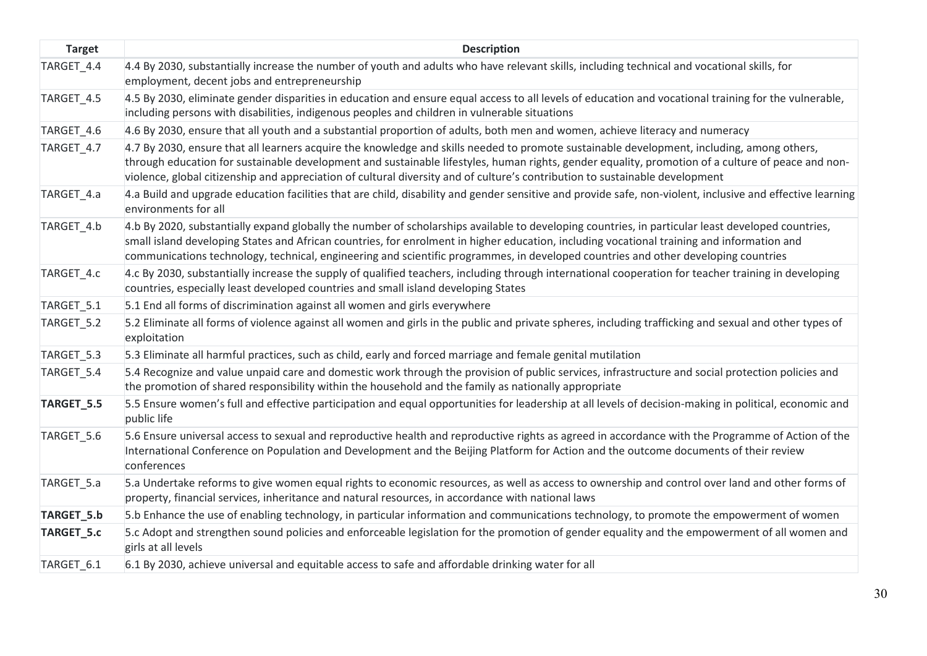| <b>Target</b> | <b>Description</b>                                                                                                                                                                                                                                                                                                                                                                                                                    |
|---------------|---------------------------------------------------------------------------------------------------------------------------------------------------------------------------------------------------------------------------------------------------------------------------------------------------------------------------------------------------------------------------------------------------------------------------------------|
| TARGET_4.4    | 4.4 By 2030, substantially increase the number of youth and adults who have relevant skills, including technical and vocational skills, for<br>employment, decent jobs and entrepreneurship                                                                                                                                                                                                                                           |
| TARGET_4.5    | 4.5 By 2030, eliminate gender disparities in education and ensure equal access to all levels of education and vocational training for the vulnerable,<br>including persons with disabilities, indigenous peoples and children in vulnerable situations                                                                                                                                                                                |
| TARGET_4.6    | 4.6 By 2030, ensure that all youth and a substantial proportion of adults, both men and women, achieve literacy and numeracy                                                                                                                                                                                                                                                                                                          |
| TARGET_4.7    | 4.7 By 2030, ensure that all learners acquire the knowledge and skills needed to promote sustainable development, including, among others,<br>through education for sustainable development and sustainable lifestyles, human rights, gender equality, promotion of a culture of peace and non-<br>violence, global citizenship and appreciation of cultural diversity and of culture's contribution to sustainable development       |
| TARGET_4.a    | 4.a Build and upgrade education facilities that are child, disability and gender sensitive and provide safe, non-violent, inclusive and effective learning<br>environments for all                                                                                                                                                                                                                                                    |
| TARGET 4.b    | 4.b By 2020, substantially expand globally the number of scholarships available to developing countries, in particular least developed countries,<br>small island developing States and African countries, for enrolment in higher education, including vocational training and information and<br>communications technology, technical, engineering and scientific programmes, in developed countries and other developing countries |
| TARGET_4.c    | 4.c By 2030, substantially increase the supply of qualified teachers, including through international cooperation for teacher training in developing<br>countries, especially least developed countries and small island developing States                                                                                                                                                                                            |
| TARGET_5.1    | 5.1 End all forms of discrimination against all women and girls everywhere                                                                                                                                                                                                                                                                                                                                                            |
| TARGET_5.2    | 5.2 Eliminate all forms of violence against all women and girls in the public and private spheres, including trafficking and sexual and other types of<br>exploitation                                                                                                                                                                                                                                                                |
| TARGET_5.3    | 5.3 Eliminate all harmful practices, such as child, early and forced marriage and female genital mutilation                                                                                                                                                                                                                                                                                                                           |
| TARGET_5.4    | 5.4 Recognize and value unpaid care and domestic work through the provision of public services, infrastructure and social protection policies and<br>the promotion of shared responsibility within the household and the family as nationally appropriate                                                                                                                                                                             |
| TARGET_5.5    | 5.5 Ensure women's full and effective participation and equal opportunities for leadership at all levels of decision-making in political, economic and<br>public life                                                                                                                                                                                                                                                                 |
| TARGET_5.6    | 5.6 Ensure universal access to sexual and reproductive health and reproductive rights as agreed in accordance with the Programme of Action of the<br>International Conference on Population and Development and the Beijing Platform for Action and the outcome documents of their review<br>conferences                                                                                                                              |
| TARGET_5.a    | 5.a Undertake reforms to give women equal rights to economic resources, as well as access to ownership and control over land and other forms of<br>property, financial services, inheritance and natural resources, in accordance with national laws                                                                                                                                                                                  |
| TARGET_5.b    | 5.b Enhance the use of enabling technology, in particular information and communications technology, to promote the empowerment of women                                                                                                                                                                                                                                                                                              |
| TARGET_5.c    | 5.c Adopt and strengthen sound policies and enforceable legislation for the promotion of gender equality and the empowerment of all women and<br>girls at all levels                                                                                                                                                                                                                                                                  |
| TARGET 6.1    | 6.1 By 2030, achieve universal and equitable access to safe and affordable drinking water for all                                                                                                                                                                                                                                                                                                                                     |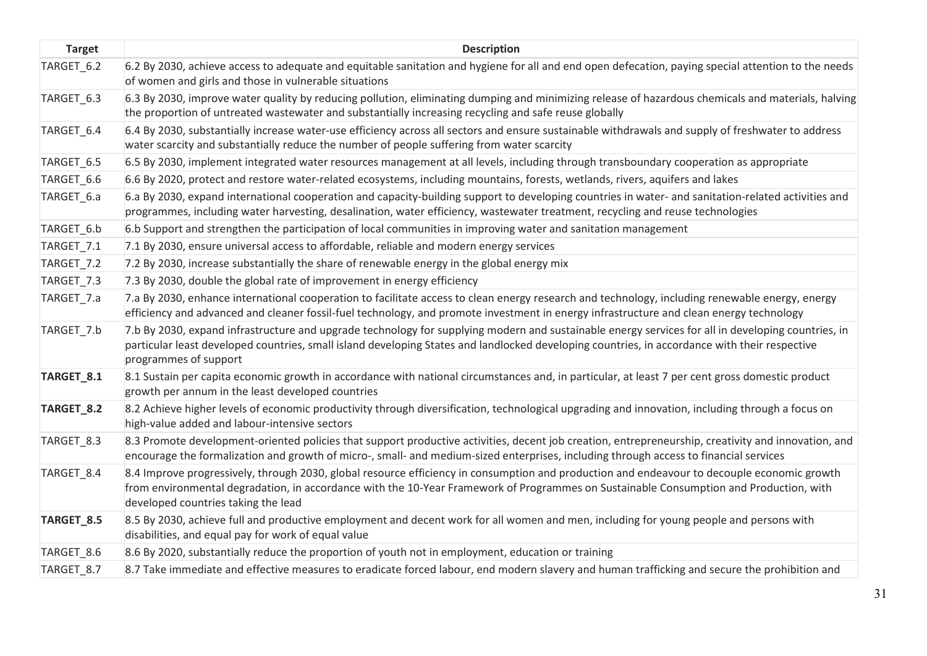| <b>Target</b> | <b>Description</b>                                                                                                                                                                                                                                                                                                           |
|---------------|------------------------------------------------------------------------------------------------------------------------------------------------------------------------------------------------------------------------------------------------------------------------------------------------------------------------------|
| TARGET_6.2    | 6.2 By 2030, achieve access to adequate and equitable sanitation and hygiene for all and end open defecation, paying special attention to the needs<br>of women and girls and those in vulnerable situations                                                                                                                 |
| TARGET_6.3    | 6.3 By 2030, improve water quality by reducing pollution, eliminating dumping and minimizing release of hazardous chemicals and materials, halving<br>the proportion of untreated wastewater and substantially increasing recycling and safe reuse globally                                                                  |
| TARGET_6.4    | 6.4 By 2030, substantially increase water-use efficiency across all sectors and ensure sustainable withdrawals and supply of freshwater to address<br>water scarcity and substantially reduce the number of people suffering from water scarcity                                                                             |
| TARGET_6.5    | 6.5 By 2030, implement integrated water resources management at all levels, including through transboundary cooperation as appropriate                                                                                                                                                                                       |
| TARGET_6.6    | 6.6 By 2020, protect and restore water-related ecosystems, including mountains, forests, wetlands, rivers, aquifers and lakes                                                                                                                                                                                                |
| TARGET_6.a    | 6.a By 2030, expand international cooperation and capacity-building support to developing countries in water- and sanitation-related activities and<br>programmes, including water harvesting, desalination, water efficiency, wastewater treatment, recycling and reuse technologies                                        |
| TARGET_6.b    | 6.b Support and strengthen the participation of local communities in improving water and sanitation management                                                                                                                                                                                                               |
| TARGET_7.1    | 7.1 By 2030, ensure universal access to affordable, reliable and modern energy services                                                                                                                                                                                                                                      |
| TARGET_7.2    | 7.2 By 2030, increase substantially the share of renewable energy in the global energy mix                                                                                                                                                                                                                                   |
| TARGET_7.3    | 7.3 By 2030, double the global rate of improvement in energy efficiency                                                                                                                                                                                                                                                      |
| TARGET_7.a    | 7.a By 2030, enhance international cooperation to facilitate access to clean energy research and technology, including renewable energy, energy<br>efficiency and advanced and cleaner fossil-fuel technology, and promote investment in energy infrastructure and clean energy technology                                   |
| TARGET_7.b    | 7.b By 2030, expand infrastructure and upgrade technology for supplying modern and sustainable energy services for all in developing countries, in<br>particular least developed countries, small island developing States and landlocked developing countries, in accordance with their respective<br>programmes of support |
| TARGET_8.1    | 8.1 Sustain per capita economic growth in accordance with national circumstances and, in particular, at least 7 per cent gross domestic product<br>growth per annum in the least developed countries                                                                                                                         |
| TARGET_8.2    | 8.2 Achieve higher levels of economic productivity through diversification, technological upgrading and innovation, including through a focus on<br>high-value added and labour-intensive sectors                                                                                                                            |
| TARGET_8.3    | 8.3 Promote development-oriented policies that support productive activities, decent job creation, entrepreneurship, creativity and innovation, and<br>encourage the formalization and growth of micro-, small- and medium-sized enterprises, including through access to financial services                                 |
| TARGET_8.4    | 8.4 Improve progressively, through 2030, global resource efficiency in consumption and production and endeavour to decouple economic growth<br>from environmental degradation, in accordance with the 10-Year Framework of Programmes on Sustainable Consumption and Production, with<br>developed countries taking the lead |
| TARGET_8.5    | 8.5 By 2030, achieve full and productive employment and decent work for all women and men, including for young people and persons with<br>disabilities, and equal pay for work of equal value                                                                                                                                |
| TARGET_8.6    | 8.6 By 2020, substantially reduce the proportion of youth not in employment, education or training                                                                                                                                                                                                                           |
| TARGET 8.7    | 8.7 Take immediate and effective measures to eradicate forced labour, end modern slavery and human trafficking and secure the prohibition and                                                                                                                                                                                |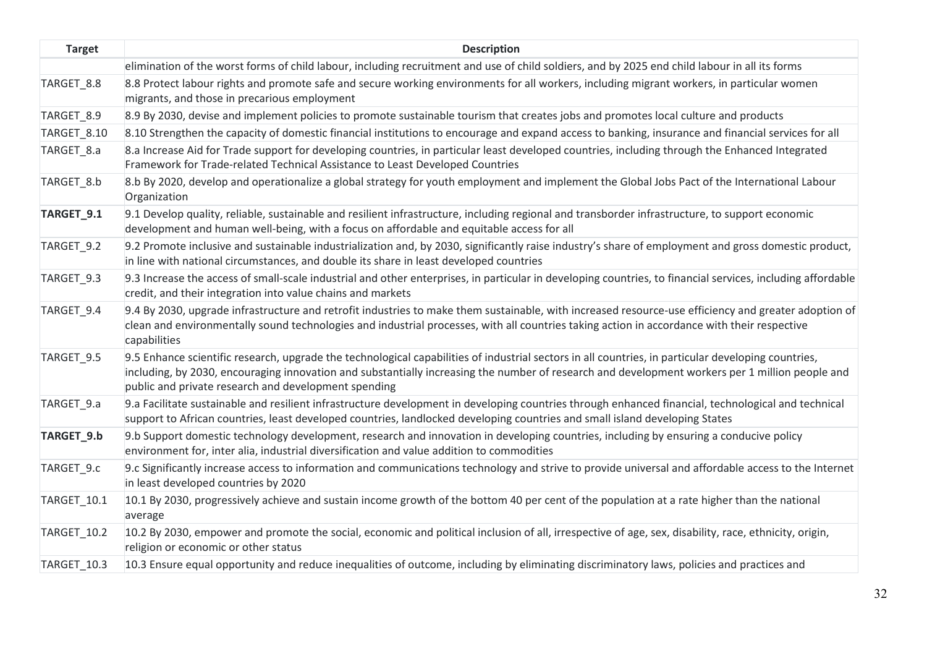| <b>Target</b>         | <b>Description</b>                                                                                                                                                                                                                                                                                                                                             |
|-----------------------|----------------------------------------------------------------------------------------------------------------------------------------------------------------------------------------------------------------------------------------------------------------------------------------------------------------------------------------------------------------|
|                       | elimination of the worst forms of child labour, including recruitment and use of child soldiers, and by 2025 end child labour in all its forms                                                                                                                                                                                                                 |
| TARGET_8.8            | 8.8 Protect labour rights and promote safe and secure working environments for all workers, including migrant workers, in particular women<br>migrants, and those in precarious employment                                                                                                                                                                     |
| TARGET_8.9            | 8.9 By 2030, devise and implement policies to promote sustainable tourism that creates jobs and promotes local culture and products                                                                                                                                                                                                                            |
| TARGET_8.10           | 8.10 Strengthen the capacity of domestic financial institutions to encourage and expand access to banking, insurance and financial services for all                                                                                                                                                                                                            |
| TARGET_8.a            | 8.a Increase Aid for Trade support for developing countries, in particular least developed countries, including through the Enhanced Integrated<br>Framework for Trade-related Technical Assistance to Least Developed Countries                                                                                                                               |
| TARGET_8.b            | 8.b By 2020, develop and operationalize a global strategy for youth employment and implement the Global Jobs Pact of the International Labour<br>Organization                                                                                                                                                                                                  |
| TARGET <sub>9.1</sub> | 9.1 Develop quality, reliable, sustainable and resilient infrastructure, including regional and transborder infrastructure, to support economic<br>development and human well-being, with a focus on affordable and equitable access for all                                                                                                                   |
| TARGET_9.2            | 9.2 Promote inclusive and sustainable industrialization and, by 2030, significantly raise industry's share of employment and gross domestic product,<br>in line with national circumstances, and double its share in least developed countries                                                                                                                 |
| TARGET 9.3            | 9.3 Increase the access of small-scale industrial and other enterprises, in particular in developing countries, to financial services, including affordable<br>credit, and their integration into value chains and markets                                                                                                                                     |
| TARGET 9.4            | 9.4 By 2030, upgrade infrastructure and retrofit industries to make them sustainable, with increased resource-use efficiency and greater adoption of<br>clean and environmentally sound technologies and industrial processes, with all countries taking action in accordance with their respective<br>capabilities                                            |
| TARGET_9.5            | 9.5 Enhance scientific research, upgrade the technological capabilities of industrial sectors in all countries, in particular developing countries,<br>including, by 2030, encouraging innovation and substantially increasing the number of research and development workers per 1 million people and<br>public and private research and development spending |
| TARGET_9.a            | 9.a Facilitate sustainable and resilient infrastructure development in developing countries through enhanced financial, technological and technical<br>support to African countries, least developed countries, landlocked developing countries and small island developing States                                                                             |
| TARGET_9.b            | 9.b Support domestic technology development, research and innovation in developing countries, including by ensuring a conducive policy<br>environment for, inter alia, industrial diversification and value addition to commodities                                                                                                                            |
| TARGET_9.c            | 9.c Significantly increase access to information and communications technology and strive to provide universal and affordable access to the Internet<br>in least developed countries by 2020                                                                                                                                                                   |
| TARGET_10.1           | 10.1 By 2030, progressively achieve and sustain income growth of the bottom 40 per cent of the population at a rate higher than the national<br>average                                                                                                                                                                                                        |
| <b>TARGET_10.2</b>    | 10.2 By 2030, empower and promote the social, economic and political inclusion of all, irrespective of age, sex, disability, race, ethnicity, origin,<br>religion or economic or other status                                                                                                                                                                  |
| TARGET 10.3           | 10.3 Ensure equal opportunity and reduce inequalities of outcome, including by eliminating discriminatory laws, policies and practices and                                                                                                                                                                                                                     |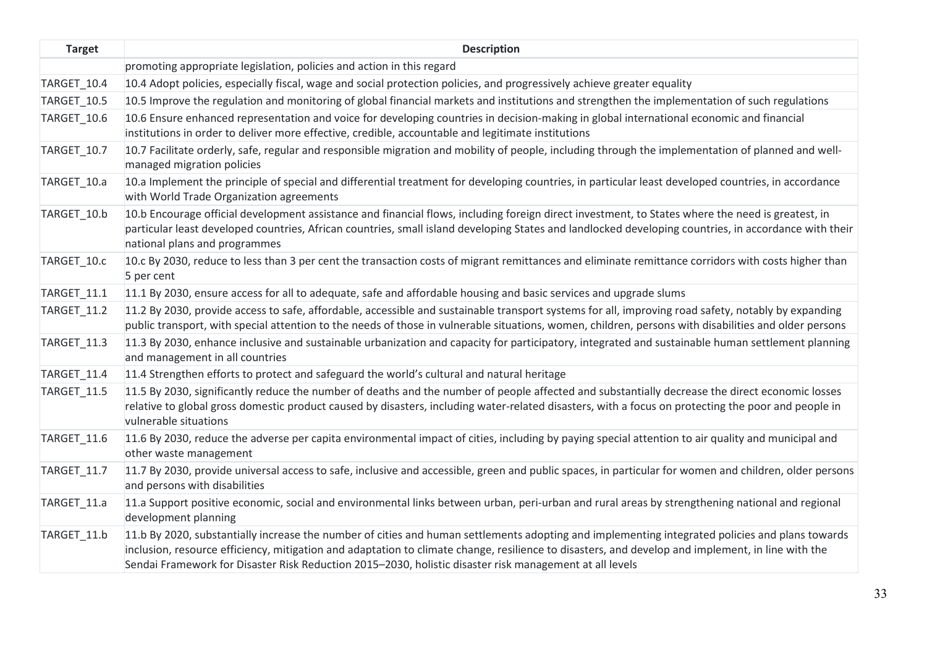| <b>Target</b> | <b>Description</b>                                                                                                                                                                                                                                                                                                                                                                                              |
|---------------|-----------------------------------------------------------------------------------------------------------------------------------------------------------------------------------------------------------------------------------------------------------------------------------------------------------------------------------------------------------------------------------------------------------------|
|               | promoting appropriate legislation, policies and action in this regard                                                                                                                                                                                                                                                                                                                                           |
| TARGET_10.4   | 10.4 Adopt policies, especially fiscal, wage and social protection policies, and progressively achieve greater equality                                                                                                                                                                                                                                                                                         |
| TARGET_10.5   | 10.5 Improve the regulation and monitoring of global financial markets and institutions and strengthen the implementation of such regulations                                                                                                                                                                                                                                                                   |
| TARGET_10.6   | 10.6 Ensure enhanced representation and voice for developing countries in decision-making in global international economic and financial<br>institutions in order to deliver more effective, credible, accountable and legitimate institutions                                                                                                                                                                  |
| TARGET 10.7   | 10.7 Facilitate orderly, safe, regular and responsible migration and mobility of people, including through the implementation of planned and well-<br>managed migration policies                                                                                                                                                                                                                                |
| TARGET_10.a   | 10.a Implement the principle of special and differential treatment for developing countries, in particular least developed countries, in accordance<br>with World Trade Organization agreements                                                                                                                                                                                                                 |
| TARGET_10.b   | 10.b Encourage official development assistance and financial flows, including foreign direct investment, to States where the need is greatest, in<br>particular least developed countries, African countries, small island developing States and landlocked developing countries, in accordance with their<br>national plans and programmes                                                                     |
| TARGET_10.c   | 10.c By 2030, reduce to less than 3 per cent the transaction costs of migrant remittances and eliminate remittance corridors with costs higher than<br>5 per cent                                                                                                                                                                                                                                               |
| TARGET 11.1   | 11.1 By 2030, ensure access for all to adequate, safe and affordable housing and basic services and upgrade slums                                                                                                                                                                                                                                                                                               |
| TARGET_11.2   | 11.2 By 2030, provide access to safe, affordable, accessible and sustainable transport systems for all, improving road safety, notably by expanding<br>public transport, with special attention to the needs of those in vulnerable situations, women, children, persons with disabilities and older persons                                                                                                    |
| TARGET_11.3   | 11.3 By 2030, enhance inclusive and sustainable urbanization and capacity for participatory, integrated and sustainable human settlement planning<br>and management in all countries                                                                                                                                                                                                                            |
| TARGET_11.4   | 11.4 Strengthen efforts to protect and safeguard the world's cultural and natural heritage                                                                                                                                                                                                                                                                                                                      |
| TARGET_11.5   | 11.5 By 2030, significantly reduce the number of deaths and the number of people affected and substantially decrease the direct economic losses<br>relative to global gross domestic product caused by disasters, including water-related disasters, with a focus on protecting the poor and people in<br>vulnerable situations                                                                                 |
| TARGET 11.6   | 11.6 By 2030, reduce the adverse per capita environmental impact of cities, including by paying special attention to air quality and municipal and<br>other waste management                                                                                                                                                                                                                                    |
| TARGET_11.7   | 11.7 By 2030, provide universal access to safe, inclusive and accessible, green and public spaces, in particular for women and children, older persons<br>and persons with disabilities                                                                                                                                                                                                                         |
| TARGET_11.a   | 11.a Support positive economic, social and environmental links between urban, peri-urban and rural areas by strengthening national and regional<br>development planning                                                                                                                                                                                                                                         |
| TARGET 11.b   | 11.b By 2020, substantially increase the number of cities and human settlements adopting and implementing integrated policies and plans towards<br>inclusion, resource efficiency, mitigation and adaptation to climate change, resilience to disasters, and develop and implement, in line with the<br>Sendai Framework for Disaster Risk Reduction 2015-2030, holistic disaster risk management at all levels |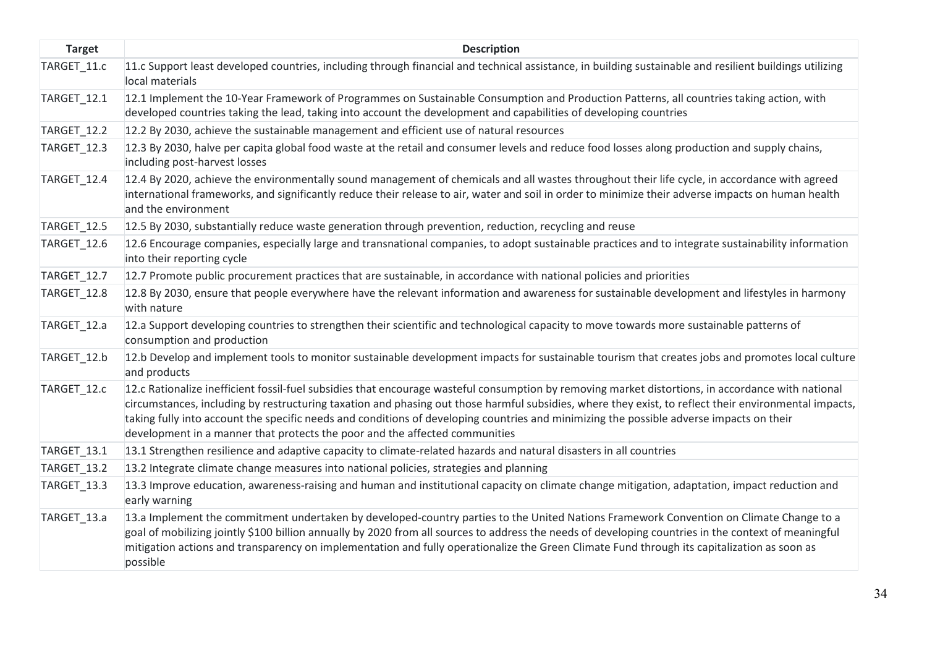| <b>Target</b>      | <b>Description</b>                                                                                                                                                                                                                                                                                                                                                                                                                                                                                                                     |
|--------------------|----------------------------------------------------------------------------------------------------------------------------------------------------------------------------------------------------------------------------------------------------------------------------------------------------------------------------------------------------------------------------------------------------------------------------------------------------------------------------------------------------------------------------------------|
| TARGET_11.c        | 11.c Support least developed countries, including through financial and technical assistance, in building sustainable and resilient buildings utilizing<br>local materials                                                                                                                                                                                                                                                                                                                                                             |
| TARGET_12.1        | 12.1 Implement the 10-Year Framework of Programmes on Sustainable Consumption and Production Patterns, all countries taking action, with<br>developed countries taking the lead, taking into account the development and capabilities of developing countries                                                                                                                                                                                                                                                                          |
| TARGET_12.2        | 12.2 By 2030, achieve the sustainable management and efficient use of natural resources                                                                                                                                                                                                                                                                                                                                                                                                                                                |
| TARGET_12.3        | 12.3 By 2030, halve per capita global food waste at the retail and consumer levels and reduce food losses along production and supply chains,<br>including post-harvest losses                                                                                                                                                                                                                                                                                                                                                         |
| TARGET_12.4        | 12.4 By 2020, achieve the environmentally sound management of chemicals and all wastes throughout their life cycle, in accordance with agreed<br>international frameworks, and significantly reduce their release to air, water and soil in order to minimize their adverse impacts on human health<br>and the environment                                                                                                                                                                                                             |
| TARGET_12.5        | 12.5 By 2030, substantially reduce waste generation through prevention, reduction, recycling and reuse                                                                                                                                                                                                                                                                                                                                                                                                                                 |
| TARGET_12.6        | 12.6 Encourage companies, especially large and transnational companies, to adopt sustainable practices and to integrate sustainability information<br>into their reporting cycle                                                                                                                                                                                                                                                                                                                                                       |
| <b>TARGET_12.7</b> | 12.7 Promote public procurement practices that are sustainable, in accordance with national policies and priorities                                                                                                                                                                                                                                                                                                                                                                                                                    |
| TARGET_12.8        | 12.8 By 2030, ensure that people everywhere have the relevant information and awareness for sustainable development and lifestyles in harmony<br>with nature                                                                                                                                                                                                                                                                                                                                                                           |
| TARGET_12.a        | 12.a Support developing countries to strengthen their scientific and technological capacity to move towards more sustainable patterns of<br>consumption and production                                                                                                                                                                                                                                                                                                                                                                 |
| TARGET_12.b        | 12.b Develop and implement tools to monitor sustainable development impacts for sustainable tourism that creates jobs and promotes local culture<br>and products                                                                                                                                                                                                                                                                                                                                                                       |
| TARGET_12.c        | 12.c Rationalize inefficient fossil-fuel subsidies that encourage wasteful consumption by removing market distortions, in accordance with national<br>circumstances, including by restructuring taxation and phasing out those harmful subsidies, where they exist, to reflect their environmental impacts,<br>taking fully into account the specific needs and conditions of developing countries and minimizing the possible adverse impacts on their<br>development in a manner that protects the poor and the affected communities |
| TARGET_13.1        | 13.1 Strengthen resilience and adaptive capacity to climate-related hazards and natural disasters in all countries                                                                                                                                                                                                                                                                                                                                                                                                                     |
| TARGET_13.2        | 13.2 Integrate climate change measures into national policies, strategies and planning                                                                                                                                                                                                                                                                                                                                                                                                                                                 |
| TARGET_13.3        | 13.3 Improve education, awareness-raising and human and institutional capacity on climate change mitigation, adaptation, impact reduction and<br>early warning                                                                                                                                                                                                                                                                                                                                                                         |
| TARGET_13.a        | 13.a Implement the commitment undertaken by developed-country parties to the United Nations Framework Convention on Climate Change to a<br>goal of mobilizing jointly \$100 billion annually by 2020 from all sources to address the needs of developing countries in the context of meaningful<br>mitigation actions and transparency on implementation and fully operationalize the Green Climate Fund through its capitalization as soon as<br>possible                                                                             |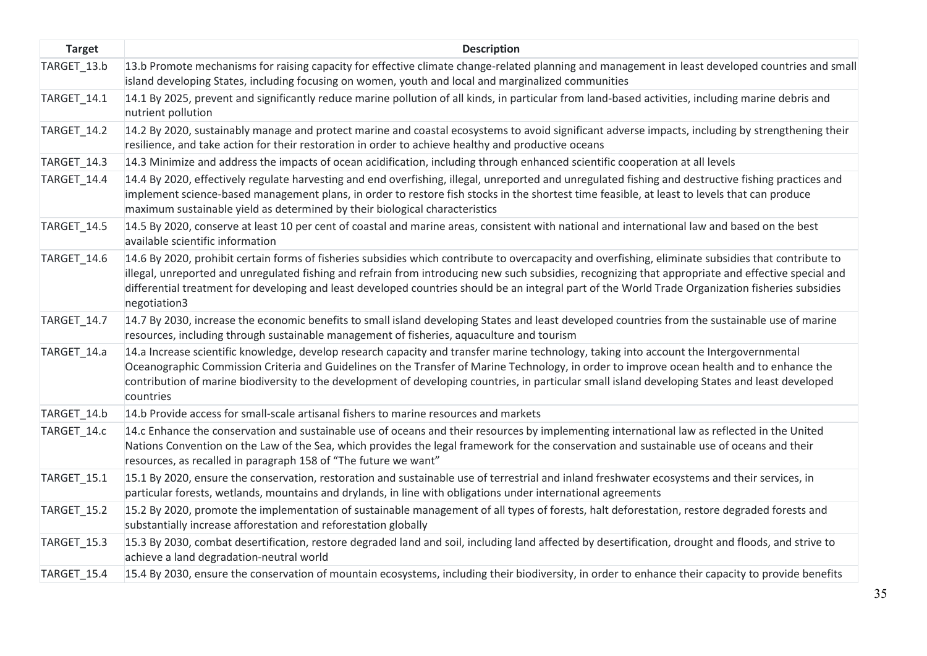| <b>Target</b> | <b>Description</b>                                                                                                                                                                                                                                                                                                                                                                                                                                                                |
|---------------|-----------------------------------------------------------------------------------------------------------------------------------------------------------------------------------------------------------------------------------------------------------------------------------------------------------------------------------------------------------------------------------------------------------------------------------------------------------------------------------|
| TARGET_13.b   | 13.b Promote mechanisms for raising capacity for effective climate change-related planning and management in least developed countries and small<br>island developing States, including focusing on women, youth and local and marginalized communities                                                                                                                                                                                                                           |
| TARGET_14.1   | 14.1 By 2025, prevent and significantly reduce marine pollution of all kinds, in particular from land-based activities, including marine debris and<br>nutrient pollution                                                                                                                                                                                                                                                                                                         |
| TARGET_14.2   | 14.2 By 2020, sustainably manage and protect marine and coastal ecosystems to avoid significant adverse impacts, including by strengthening their<br>resilience, and take action for their restoration in order to achieve healthy and productive oceans                                                                                                                                                                                                                          |
| TARGET_14.3   | 14.3 Minimize and address the impacts of ocean acidification, including through enhanced scientific cooperation at all levels                                                                                                                                                                                                                                                                                                                                                     |
| TARGET_14.4   | 14.4 By 2020, effectively regulate harvesting and end overfishing, illegal, unreported and unregulated fishing and destructive fishing practices and<br>implement science-based management plans, in order to restore fish stocks in the shortest time feasible, at least to levels that can produce<br>maximum sustainable yield as determined by their biological characteristics                                                                                               |
| TARGET_14.5   | 14.5 By 2020, conserve at least 10 per cent of coastal and marine areas, consistent with national and international law and based on the best<br>available scientific information                                                                                                                                                                                                                                                                                                 |
| TARGET_14.6   | 14.6 By 2020, prohibit certain forms of fisheries subsidies which contribute to overcapacity and overfishing, eliminate subsidies that contribute to<br>illegal, unreported and unregulated fishing and refrain from introducing new such subsidies, recognizing that appropriate and effective special and<br>differential treatment for developing and least developed countries should be an integral part of the World Trade Organization fisheries subsidies<br>negotiation3 |
| TARGET_14.7   | 14.7 By 2030, increase the economic benefits to small island developing States and least developed countries from the sustainable use of marine<br>resources, including through sustainable management of fisheries, aquaculture and tourism                                                                                                                                                                                                                                      |
| TARGET_14.a   | 14.a Increase scientific knowledge, develop research capacity and transfer marine technology, taking into account the Intergovernmental<br>Oceanographic Commission Criteria and Guidelines on the Transfer of Marine Technology, in order to improve ocean health and to enhance the<br>contribution of marine biodiversity to the development of developing countries, in particular small island developing States and least developed<br>countries                            |
| TARGET 14.b   | 14.b Provide access for small-scale artisanal fishers to marine resources and markets                                                                                                                                                                                                                                                                                                                                                                                             |
| TARGET_14.c   | 14.c Enhance the conservation and sustainable use of oceans and their resources by implementing international law as reflected in the United<br>Nations Convention on the Law of the Sea, which provides the legal framework for the conservation and sustainable use of oceans and their<br>resources, as recalled in paragraph 158 of "The future we want"                                                                                                                      |
| TARGET_15.1   | 15.1 By 2020, ensure the conservation, restoration and sustainable use of terrestrial and inland freshwater ecosystems and their services, in<br>particular forests, wetlands, mountains and drylands, in line with obligations under international agreements                                                                                                                                                                                                                    |
| TARGET_15.2   | 15.2 By 2020, promote the implementation of sustainable management of all types of forests, halt deforestation, restore degraded forests and<br>substantially increase afforestation and reforestation globally                                                                                                                                                                                                                                                                   |
| TARGET_15.3   | 15.3 By 2030, combat desertification, restore degraded land and soil, including land affected by desertification, drought and floods, and strive to<br>achieve a land degradation-neutral world                                                                                                                                                                                                                                                                                   |
| TARGET 15.4   | 15.4 By 2030, ensure the conservation of mountain ecosystems, including their biodiversity, in order to enhance their capacity to provide benefits                                                                                                                                                                                                                                                                                                                                |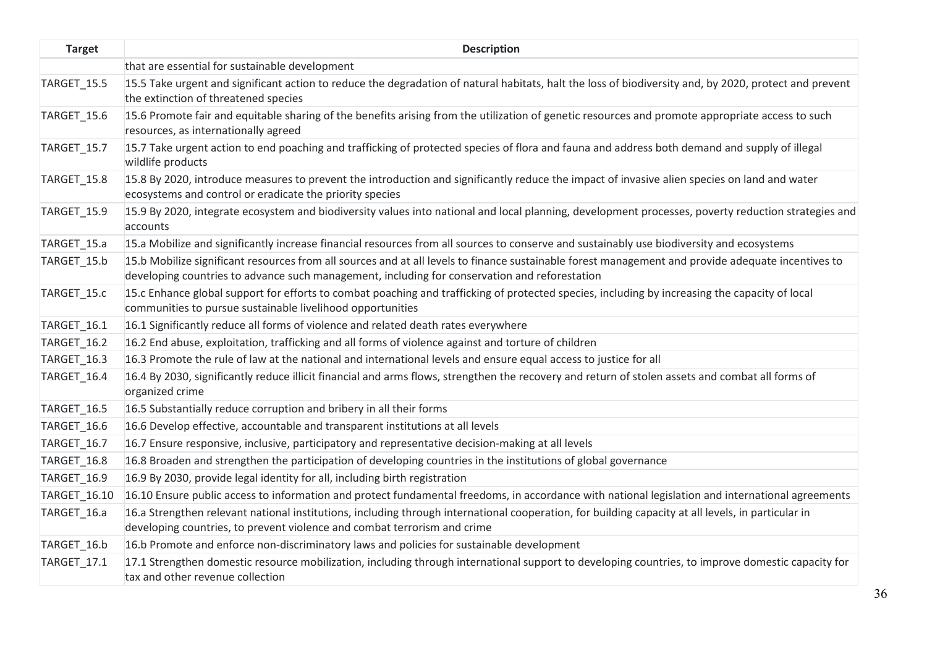| <b>Target</b>      | <b>Description</b>                                                                                                                                                                                                                                  |
|--------------------|-----------------------------------------------------------------------------------------------------------------------------------------------------------------------------------------------------------------------------------------------------|
|                    | that are essential for sustainable development                                                                                                                                                                                                      |
| TARGET_15.5        | 15.5 Take urgent and significant action to reduce the degradation of natural habitats, halt the loss of biodiversity and, by 2020, protect and prevent<br>the extinction of threatened species                                                      |
| TARGET_15.6        | 15.6 Promote fair and equitable sharing of the benefits arising from the utilization of genetic resources and promote appropriate access to such<br>resources, as internationally agreed                                                            |
| TARGET_15.7        | 15.7 Take urgent action to end poaching and trafficking of protected species of flora and fauna and address both demand and supply of illegal<br>wildlife products                                                                                  |
| TARGET_15.8        | 15.8 By 2020, introduce measures to prevent the introduction and significantly reduce the impact of invasive alien species on land and water<br>ecosystems and control or eradicate the priority species                                            |
| <b>TARGET_15.9</b> | 15.9 By 2020, integrate ecosystem and biodiversity values into national and local planning, development processes, poverty reduction strategies and<br>accounts                                                                                     |
| TARGET 15.a        | 15.a Mobilize and significantly increase financial resources from all sources to conserve and sustainably use biodiversity and ecosystems                                                                                                           |
| TARGET_15.b        | 15.b Mobilize significant resources from all sources and at all levels to finance sustainable forest management and provide adequate incentives to<br>developing countries to advance such management, including for conservation and reforestation |
| TARGET_15.c        | 15.c Enhance global support for efforts to combat poaching and trafficking of protected species, including by increasing the capacity of local<br>communities to pursue sustainable livelihood opportunities                                        |
| TARGET_16.1        | 16.1 Significantly reduce all forms of violence and related death rates everywhere                                                                                                                                                                  |
| <b>TARGET_16.2</b> | 16.2 End abuse, exploitation, trafficking and all forms of violence against and torture of children                                                                                                                                                 |
| TARGET_16.3        | 16.3 Promote the rule of law at the national and international levels and ensure equal access to justice for all                                                                                                                                    |
| TARGET_16.4        | 16.4 By 2030, significantly reduce illicit financial and arms flows, strengthen the recovery and return of stolen assets and combat all forms of<br>organized crime                                                                                 |
| TARGET_16.5        | 16.5 Substantially reduce corruption and bribery in all their forms                                                                                                                                                                                 |
| TARGET_16.6        | 16.6 Develop effective, accountable and transparent institutions at all levels                                                                                                                                                                      |
| TARGET_16.7        | 16.7 Ensure responsive, inclusive, participatory and representative decision-making at all levels                                                                                                                                                   |
| TARGET_16.8        | 16.8 Broaden and strengthen the participation of developing countries in the institutions of global governance                                                                                                                                      |
| <b>TARGET_16.9</b> | 16.9 By 2030, provide legal identity for all, including birth registration                                                                                                                                                                          |
| TARGET_16.10       | 16.10 Ensure public access to information and protect fundamental freedoms, in accordance with national legislation and international agreements                                                                                                    |
| TARGET_16.a        | 16.a Strengthen relevant national institutions, including through international cooperation, for building capacity at all levels, in particular in<br>developing countries, to prevent violence and combat terrorism and crime                      |
| TARGET_16.b        | 16.b Promote and enforce non-discriminatory laws and policies for sustainable development                                                                                                                                                           |
| TARGET_17.1        | 17.1 Strengthen domestic resource mobilization, including through international support to developing countries, to improve domestic capacity for<br>tax and other revenue collection                                                               |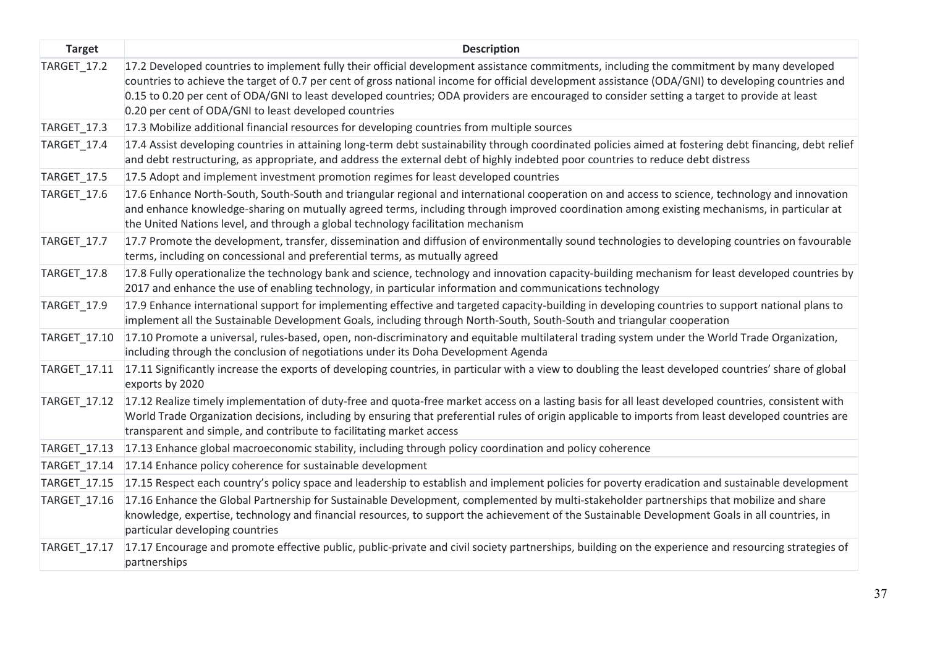| <b>Target</b>       | <b>Description</b>                                                                                                                                                                                                                                                                                                                                                                                                                                                                                       |
|---------------------|----------------------------------------------------------------------------------------------------------------------------------------------------------------------------------------------------------------------------------------------------------------------------------------------------------------------------------------------------------------------------------------------------------------------------------------------------------------------------------------------------------|
| <b>TARGET_17.2</b>  | 17.2 Developed countries to implement fully their official development assistance commitments, including the commitment by many developed<br>countries to achieve the target of 0.7 per cent of gross national income for official development assistance (ODA/GNI) to developing countries and<br>0.15 to 0.20 per cent of ODA/GNI to least developed countries; ODA providers are encouraged to consider setting a target to provide at least<br>0.20 per cent of ODA/GNI to least developed countries |
| TARGET_17.3         | 17.3 Mobilize additional financial resources for developing countries from multiple sources                                                                                                                                                                                                                                                                                                                                                                                                              |
| TARGET_17.4         | 17.4 Assist developing countries in attaining long-term debt sustainability through coordinated policies aimed at fostering debt financing, debt relief<br>and debt restructuring, as appropriate, and address the external debt of highly indebted poor countries to reduce debt distress                                                                                                                                                                                                               |
| TARGET_17.5         | 17.5 Adopt and implement investment promotion regimes for least developed countries                                                                                                                                                                                                                                                                                                                                                                                                                      |
| TARGET_17.6         | 17.6 Enhance North-South, South-South and triangular regional and international cooperation on and access to science, technology and innovation<br>and enhance knowledge-sharing on mutually agreed terms, including through improved coordination among existing mechanisms, in particular at<br>the United Nations level, and through a global technology facilitation mechanism                                                                                                                       |
| TARGET_17.7         | 17.7 Promote the development, transfer, dissemination and diffusion of environmentally sound technologies to developing countries on favourable<br>terms, including on concessional and preferential terms, as mutually agreed                                                                                                                                                                                                                                                                           |
| TARGET_17.8         | 17.8 Fully operationalize the technology bank and science, technology and innovation capacity-building mechanism for least developed countries by<br>2017 and enhance the use of enabling technology, in particular information and communications technology                                                                                                                                                                                                                                            |
| TARGET_17.9         | 17.9 Enhance international support for implementing effective and targeted capacity-building in developing countries to support national plans to<br>implement all the Sustainable Development Goals, including through North-South, South-South and triangular cooperation                                                                                                                                                                                                                              |
| TARGET_17.10        | 17.10 Promote a universal, rules-based, open, non-discriminatory and equitable multilateral trading system under the World Trade Organization,<br>including through the conclusion of negotiations under its Doha Development Agenda                                                                                                                                                                                                                                                                     |
| TARGET_17.11        | 17.11 Significantly increase the exports of developing countries, in particular with a view to doubling the least developed countries' share of global<br>exports by 2020                                                                                                                                                                                                                                                                                                                                |
| TARGET_17.12        | 17.12 Realize timely implementation of duty-free and quota-free market access on a lasting basis for all least developed countries, consistent with<br>World Trade Organization decisions, including by ensuring that preferential rules of origin applicable to imports from least developed countries are<br>transparent and simple, and contribute to facilitating market access                                                                                                                      |
| TARGET_17.13        | 17.13 Enhance global macroeconomic stability, including through policy coordination and policy coherence                                                                                                                                                                                                                                                                                                                                                                                                 |
| TARGET_17.14        | 17.14 Enhance policy coherence for sustainable development                                                                                                                                                                                                                                                                                                                                                                                                                                               |
| TARGET_17.15        | 17.15 Respect each country's policy space and leadership to establish and implement policies for poverty eradication and sustainable development                                                                                                                                                                                                                                                                                                                                                         |
| TARGET_17.16        | 17.16 Enhance the Global Partnership for Sustainable Development, complemented by multi-stakeholder partnerships that mobilize and share<br>knowledge, expertise, technology and financial resources, to support the achievement of the Sustainable Development Goals in all countries, in<br>particular developing countries                                                                                                                                                                            |
| <b>TARGET 17.17</b> | 17.17 Encourage and promote effective public, public-private and civil society partnerships, building on the experience and resourcing strategies of<br>partnerships                                                                                                                                                                                                                                                                                                                                     |